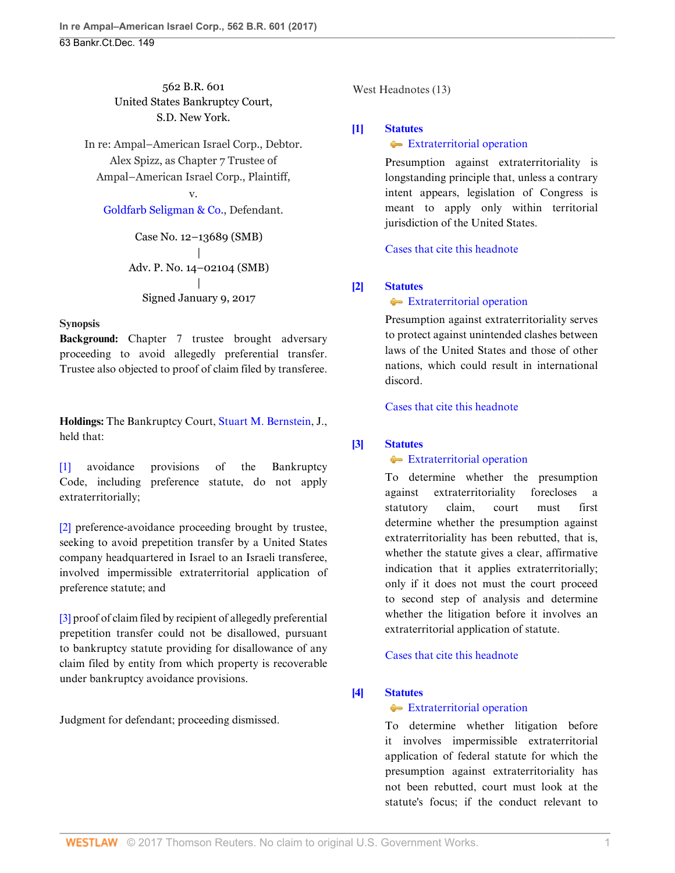562 B.R. 601 United States Bankruptcy Court, S.D. New York.

In re: Ampal–American Israel Corp., Debtor. Alex Spizz, as Chapter 7 Trustee of Ampal–American Israel Corp., Plaintiff,

## v.

[Goldfarb Seligman & Co.,](http://www.westlaw.com/Search/Results.html?query=advanced%3a+OAID(5039938552)&saveJuris=False&contentType=BUSINESS-INVESTIGATOR&startIndex=1&contextData=(sc.Default)&categoryPageUrl=Home%2fCompanyInvestigator&originationContext=document&vr=3.0&rs=cblt1.0&transitionType=DocumentItem) Defendant.

Case No. 12–13689 (SMB) | Adv. P. No. 14–02104 (SMB) | Signed January 9, 2017

### **Synopsis**

**Background:** Chapter 7 trustee brought adversary proceeding to avoid allegedly preferential transfer. Trustee also objected to proof of claim filed by transferee.

**Holdings:** The Bankruptcy Court, [Stuart M. Bernstein](http://www.westlaw.com/Link/Document/FullText?findType=h&pubNum=176284&cite=0151686601&originatingDoc=Ifbf9f7d0d6fa11e6b27be1b44e7e7e5b&refType=RQ&originationContext=document&vr=3.0&rs=cblt1.0&transitionType=DocumentItem&contextData=(sc.Search)), J., held that:

[\[1\]](#page-1-0) avoidance provisions of the Bankruptcy Code, including preference statute, do not apply extraterritorially;

[\[2\]](#page-1-1) preference-avoidance proceeding brought by trustee, seeking to avoid prepetition transfer by a United States company headquartered in Israel to an Israeli transferee, involved impermissible extraterritorial application of preference statute; and

[\[3\]](#page-2-0) proof of claim filed by recipient of allegedly preferential prepetition transfer could not be disallowed, pursuant to bankruptcy statute providing for disallowance of any claim filed by entity from which property is recoverable under bankruptcy avoidance provisions.

Judgment for defendant; proceeding dismissed.

West Headnotes (13)

# <span id="page-0-0"></span>**[\[1\]](#page-4-0) [Statutes](http://www.westlaw.com/Browse/Home/KeyNumber/361/View.html?docGuid=Ifbf9f7d0d6fa11e6b27be1b44e7e7e5b&originationContext=document&vr=3.0&rs=cblt1.0&transitionType=DocumentItem&contextData=(sc.Search))**

## **[Extraterritorial operation](http://www.westlaw.com/Browse/Home/KeyNumber/361k1415/View.html?docGuid=Ifbf9f7d0d6fa11e6b27be1b44e7e7e5b&originationContext=document&vr=3.0&rs=cblt1.0&transitionType=DocumentItem&contextData=(sc.Search))**

Presumption against extraterritoriality is longstanding principle that, unless a contrary intent appears, legislation of Congress is meant to apply only within territorial jurisdiction of the United States.

[Cases that cite this headnote](http://www.westlaw.com/Link/RelatedInformation/DocHeadnoteLink?docGuid=Ifbf9f7d0d6fa11e6b27be1b44e7e7e5b&headnoteId=204072436000120170214151936&originationContext=document&vr=3.0&rs=cblt1.0&transitionType=CitingReferences&contextData=(sc.Search))

## <span id="page-0-1"></span>**[\[2\]](#page-4-1) [Statutes](http://www.westlaw.com/Browse/Home/KeyNumber/361/View.html?docGuid=Ifbf9f7d0d6fa11e6b27be1b44e7e7e5b&originationContext=document&vr=3.0&rs=cblt1.0&transitionType=DocumentItem&contextData=(sc.Search))**

## [Extraterritorial operation](http://www.westlaw.com/Browse/Home/KeyNumber/361k1415/View.html?docGuid=Ifbf9f7d0d6fa11e6b27be1b44e7e7e5b&originationContext=document&vr=3.0&rs=cblt1.0&transitionType=DocumentItem&contextData=(sc.Search))

Presumption against extraterritoriality serves to protect against unintended clashes between laws of the United States and those of other nations, which could result in international discord.

[Cases that cite this headnote](http://www.westlaw.com/Link/RelatedInformation/DocHeadnoteLink?docGuid=Ifbf9f7d0d6fa11e6b27be1b44e7e7e5b&headnoteId=204072436000220170214151936&originationContext=document&vr=3.0&rs=cblt1.0&transitionType=CitingReferences&contextData=(sc.Search))

## <span id="page-0-2"></span>**[\[3\]](#page-4-2) [Statutes](http://www.westlaw.com/Browse/Home/KeyNumber/361/View.html?docGuid=Ifbf9f7d0d6fa11e6b27be1b44e7e7e5b&originationContext=document&vr=3.0&rs=cblt1.0&transitionType=DocumentItem&contextData=(sc.Search))**

### **[Extraterritorial operation](http://www.westlaw.com/Browse/Home/KeyNumber/361k1415/View.html?docGuid=Ifbf9f7d0d6fa11e6b27be1b44e7e7e5b&originationContext=document&vr=3.0&rs=cblt1.0&transitionType=DocumentItem&contextData=(sc.Search))**

To determine whether the presumption against extraterritoriality forecloses a statutory claim, court must first determine whether the presumption against extraterritoriality has been rebutted, that is, whether the statute gives a clear, affirmative indication that it applies extraterritorially; only if it does not must the court proceed to second step of analysis and determine whether the litigation before it involves an extraterritorial application of statute.

[Cases that cite this headnote](http://www.westlaw.com/Link/RelatedInformation/DocHeadnoteLink?docGuid=Ifbf9f7d0d6fa11e6b27be1b44e7e7e5b&headnoteId=204072436000320170214151936&originationContext=document&vr=3.0&rs=cblt1.0&transitionType=CitingReferences&contextData=(sc.Search))

# <span id="page-0-3"></span>**[\[4\]](#page-4-3) [Statutes](http://www.westlaw.com/Browse/Home/KeyNumber/361/View.html?docGuid=Ifbf9f7d0d6fa11e6b27be1b44e7e7e5b&originationContext=document&vr=3.0&rs=cblt1.0&transitionType=DocumentItem&contextData=(sc.Search))**

### **[Extraterritorial operation](http://www.westlaw.com/Browse/Home/KeyNumber/361k1415/View.html?docGuid=Ifbf9f7d0d6fa11e6b27be1b44e7e7e5b&originationContext=document&vr=3.0&rs=cblt1.0&transitionType=DocumentItem&contextData=(sc.Search))**

To determine whether litigation before it involves impermissible extraterritorial application of federal statute for which the presumption against extraterritoriality has not been rebutted, court must look at the statute's focus; if the conduct relevant to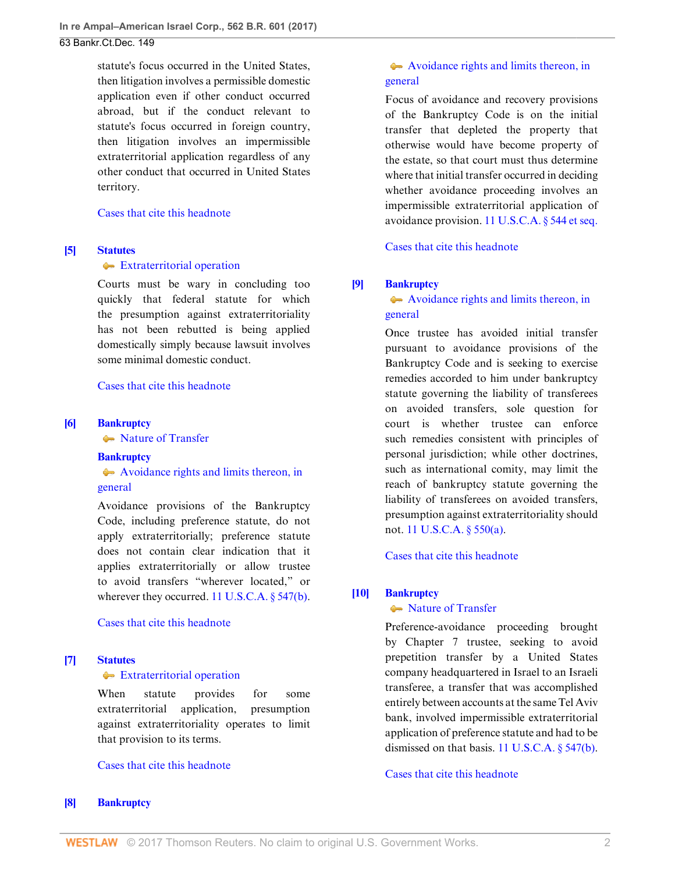statute's focus occurred in the United States, then litigation involves a permissible domestic application even if other conduct occurred abroad, but if the conduct relevant to statute's focus occurred in foreign country, then litigation involves an impermissible extraterritorial application regardless of any other conduct that occurred in United States territory.

### [Cases that cite this headnote](http://www.westlaw.com/Link/RelatedInformation/DocHeadnoteLink?docGuid=Ifbf9f7d0d6fa11e6b27be1b44e7e7e5b&headnoteId=204072436000420170214151936&originationContext=document&vr=3.0&rs=cblt1.0&transitionType=CitingReferences&contextData=(sc.Search))

### <span id="page-1-2"></span>**[\[5\]](#page-4-4) [Statutes](http://www.westlaw.com/Browse/Home/KeyNumber/361/View.html?docGuid=Ifbf9f7d0d6fa11e6b27be1b44e7e7e5b&originationContext=document&vr=3.0&rs=cblt1.0&transitionType=DocumentItem&contextData=(sc.Search))**

### [Extraterritorial operation](http://www.westlaw.com/Browse/Home/KeyNumber/361k1415/View.html?docGuid=Ifbf9f7d0d6fa11e6b27be1b44e7e7e5b&originationContext=document&vr=3.0&rs=cblt1.0&transitionType=DocumentItem&contextData=(sc.Search))

Courts must be wary in concluding too quickly that federal statute for which the presumption against extraterritoriality has not been rebutted is being applied domestically simply because lawsuit involves some minimal domestic conduct.

### [Cases that cite this headnote](http://www.westlaw.com/Link/RelatedInformation/DocHeadnoteLink?docGuid=Ifbf9f7d0d6fa11e6b27be1b44e7e7e5b&headnoteId=204072436000520170214151936&originationContext=document&vr=3.0&rs=cblt1.0&transitionType=CitingReferences&contextData=(sc.Search))

## <span id="page-1-0"></span>**[\[6\]](#page-9-0) [Bankruptcy](http://www.westlaw.com/Browse/Home/KeyNumber/51/View.html?docGuid=Ifbf9f7d0d6fa11e6b27be1b44e7e7e5b&originationContext=document&vr=3.0&rs=cblt1.0&transitionType=DocumentItem&contextData=(sc.Search))**

• [Nature of Transfer](http://www.westlaw.com/Browse/Home/KeyNumber/51k2602/View.html?docGuid=Ifbf9f7d0d6fa11e6b27be1b44e7e7e5b&originationContext=document&vr=3.0&rs=cblt1.0&transitionType=DocumentItem&contextData=(sc.Search))

# **[Bankruptcy](http://www.westlaw.com/Browse/Home/KeyNumber/51/View.html?docGuid=Ifbf9f7d0d6fa11e6b27be1b44e7e7e5b&originationContext=document&vr=3.0&rs=cblt1.0&transitionType=DocumentItem&contextData=(sc.Search))** [Avoidance rights and limits thereon, in](http://www.westlaw.com/Browse/Home/KeyNumber/51k2701/View.html?docGuid=Ifbf9f7d0d6fa11e6b27be1b44e7e7e5b&originationContext=document&vr=3.0&rs=cblt1.0&transitionType=DocumentItem&contextData=(sc.Search)) [general](http://www.westlaw.com/Browse/Home/KeyNumber/51k2701/View.html?docGuid=Ifbf9f7d0d6fa11e6b27be1b44e7e7e5b&originationContext=document&vr=3.0&rs=cblt1.0&transitionType=DocumentItem&contextData=(sc.Search))

Avoidance provisions of the Bankruptcy Code, including preference statute, do not apply extraterritorially; preference statute does not contain clear indication that it applies extraterritorially or allow trustee to avoid transfers "wherever located," or wherever they occurred. [11 U.S.C.A. § 547\(b\).](http://www.westlaw.com/Link/Document/FullText?findType=L&pubNum=1000546&cite=11USCAS547&originatingDoc=Ifbf9f7d0d6fa11e6b27be1b44e7e7e5b&refType=SP&originationContext=document&vr=3.0&rs=cblt1.0&transitionType=DocumentItem&contextData=(sc.Search)#co_pp_a83b000018c76)

#### [Cases that cite this headnote](http://www.westlaw.com/Link/RelatedInformation/DocHeadnoteLink?docGuid=Ifbf9f7d0d6fa11e6b27be1b44e7e7e5b&headnoteId=204072436000620170214151936&originationContext=document&vr=3.0&rs=cblt1.0&transitionType=CitingReferences&contextData=(sc.Search))

### <span id="page-1-3"></span>**[\[7\]](#page-10-0) [Statutes](http://www.westlaw.com/Browse/Home/KeyNumber/361/View.html?docGuid=Ifbf9f7d0d6fa11e6b27be1b44e7e7e5b&originationContext=document&vr=3.0&rs=cblt1.0&transitionType=DocumentItem&contextData=(sc.Search))**

#### **[Extraterritorial operation](http://www.westlaw.com/Browse/Home/KeyNumber/361k1415/View.html?docGuid=Ifbf9f7d0d6fa11e6b27be1b44e7e7e5b&originationContext=document&vr=3.0&rs=cblt1.0&transitionType=DocumentItem&contextData=(sc.Search))**

When statute provides for some extraterritorial application, presumption against extraterritoriality operates to limit that provision to its terms.

### [Cases that cite this headnote](http://www.westlaw.com/Link/RelatedInformation/DocHeadnoteLink?docGuid=Ifbf9f7d0d6fa11e6b27be1b44e7e7e5b&headnoteId=204072436000720170214151936&originationContext=document&vr=3.0&rs=cblt1.0&transitionType=CitingReferences&contextData=(sc.Search))

#### <span id="page-1-4"></span>**[\[8\]](#page-10-1) [Bankruptcy](http://www.westlaw.com/Browse/Home/KeyNumber/51/View.html?docGuid=Ifbf9f7d0d6fa11e6b27be1b44e7e7e5b&originationContext=document&vr=3.0&rs=cblt1.0&transitionType=DocumentItem&contextData=(sc.Search))**

# [Avoidance rights and limits thereon, in](http://www.westlaw.com/Browse/Home/KeyNumber/51k2701/View.html?docGuid=Ifbf9f7d0d6fa11e6b27be1b44e7e7e5b&originationContext=document&vr=3.0&rs=cblt1.0&transitionType=DocumentItem&contextData=(sc.Search)) [general](http://www.westlaw.com/Browse/Home/KeyNumber/51k2701/View.html?docGuid=Ifbf9f7d0d6fa11e6b27be1b44e7e7e5b&originationContext=document&vr=3.0&rs=cblt1.0&transitionType=DocumentItem&contextData=(sc.Search))

Focus of avoidance and recovery provisions of the Bankruptcy Code is on the initial transfer that depleted the property that otherwise would have become property of the estate, so that court must thus determine where that initial transfer occurred in deciding whether avoidance proceeding involves an impermissible extraterritorial application of avoidance provision. [11 U.S.C.A. § 544 et seq.](http://www.westlaw.com/Link/Document/FullText?findType=L&pubNum=1000546&cite=11USCAS544&originatingDoc=Ifbf9f7d0d6fa11e6b27be1b44e7e7e5b&refType=LQ&originationContext=document&vr=3.0&rs=cblt1.0&transitionType=DocumentItem&contextData=(sc.Search))

[Cases that cite this headnote](http://www.westlaw.com/Link/RelatedInformation/DocHeadnoteLink?docGuid=Ifbf9f7d0d6fa11e6b27be1b44e7e7e5b&headnoteId=204072436000820170214151936&originationContext=document&vr=3.0&rs=cblt1.0&transitionType=CitingReferences&contextData=(sc.Search))

### <span id="page-1-5"></span>**[\[9\]](#page-10-2) [Bankruptcy](http://www.westlaw.com/Browse/Home/KeyNumber/51/View.html?docGuid=Ifbf9f7d0d6fa11e6b27be1b44e7e7e5b&originationContext=document&vr=3.0&rs=cblt1.0&transitionType=DocumentItem&contextData=(sc.Search))**

[Avoidance rights and limits thereon, in](http://www.westlaw.com/Browse/Home/KeyNumber/51k2701/View.html?docGuid=Ifbf9f7d0d6fa11e6b27be1b44e7e7e5b&originationContext=document&vr=3.0&rs=cblt1.0&transitionType=DocumentItem&contextData=(sc.Search)) [general](http://www.westlaw.com/Browse/Home/KeyNumber/51k2701/View.html?docGuid=Ifbf9f7d0d6fa11e6b27be1b44e7e7e5b&originationContext=document&vr=3.0&rs=cblt1.0&transitionType=DocumentItem&contextData=(sc.Search))

Once trustee has avoided initial transfer pursuant to avoidance provisions of the Bankruptcy Code and is seeking to exercise remedies accorded to him under bankruptcy statute governing the liability of transferees on avoided transfers, sole question for court is whether trustee can enforce such remedies consistent with principles of personal jurisdiction; while other doctrines, such as international comity, may limit the reach of bankruptcy statute governing the liability of transferees on avoided transfers, presumption against extraterritoriality should not. [11 U.S.C.A. § 550\(a\).](http://www.westlaw.com/Link/Document/FullText?findType=L&pubNum=1000546&cite=11USCAS550&originatingDoc=Ifbf9f7d0d6fa11e6b27be1b44e7e7e5b&refType=SP&originationContext=document&vr=3.0&rs=cblt1.0&transitionType=DocumentItem&contextData=(sc.Search)#co_pp_8b3b0000958a4)

[Cases that cite this headnote](http://www.westlaw.com/Link/RelatedInformation/DocHeadnoteLink?docGuid=Ifbf9f7d0d6fa11e6b27be1b44e7e7e5b&headnoteId=204072436000920170214151936&originationContext=document&vr=3.0&rs=cblt1.0&transitionType=CitingReferences&contextData=(sc.Search))

#### <span id="page-1-1"></span>**[\[10\]](#page-10-3) [Bankruptcy](http://www.westlaw.com/Browse/Home/KeyNumber/51/View.html?docGuid=Ifbf9f7d0d6fa11e6b27be1b44e7e7e5b&originationContext=document&vr=3.0&rs=cblt1.0&transitionType=DocumentItem&contextData=(sc.Search))**

#### • [Nature of Transfer](http://www.westlaw.com/Browse/Home/KeyNumber/51k2602/View.html?docGuid=Ifbf9f7d0d6fa11e6b27be1b44e7e7e5b&originationContext=document&vr=3.0&rs=cblt1.0&transitionType=DocumentItem&contextData=(sc.Search))

Preference-avoidance proceeding brought by Chapter 7 trustee, seeking to avoid prepetition transfer by a United States company headquartered in Israel to an Israeli transferee, a transfer that was accomplished entirely between accounts at the same Tel Aviv bank, involved impermissible extraterritorial application of preference statute and had to be dismissed on that basis. [11 U.S.C.A. § 547\(b\).](http://www.westlaw.com/Link/Document/FullText?findType=L&pubNum=1000546&cite=11USCAS547&originatingDoc=Ifbf9f7d0d6fa11e6b27be1b44e7e7e5b&refType=SP&originationContext=document&vr=3.0&rs=cblt1.0&transitionType=DocumentItem&contextData=(sc.Search)#co_pp_a83b000018c76)

[Cases that cite this headnote](http://www.westlaw.com/Link/RelatedInformation/DocHeadnoteLink?docGuid=Ifbf9f7d0d6fa11e6b27be1b44e7e7e5b&headnoteId=204072436001020170214151936&originationContext=document&vr=3.0&rs=cblt1.0&transitionType=CitingReferences&contextData=(sc.Search))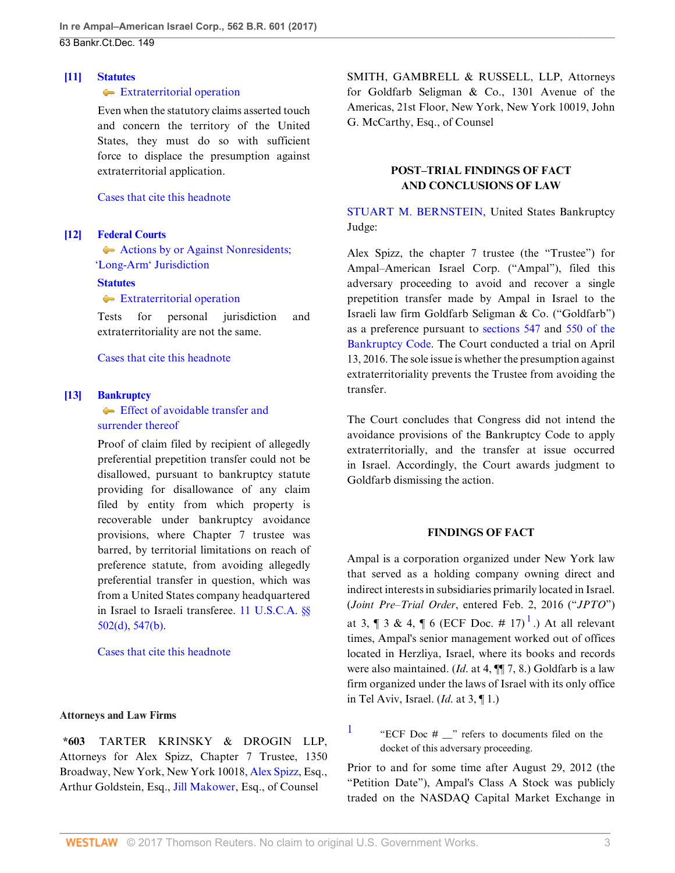### <span id="page-2-3"></span>**[\[11\]](#page-10-4) [Statutes](http://www.westlaw.com/Browse/Home/KeyNumber/361/View.html?docGuid=Ifbf9f7d0d6fa11e6b27be1b44e7e7e5b&originationContext=document&vr=3.0&rs=cblt1.0&transitionType=DocumentItem&contextData=(sc.Search))**

### $\triangleleft$  [Extraterritorial operation](http://www.westlaw.com/Browse/Home/KeyNumber/361k1415/View.html?docGuid=Ifbf9f7d0d6fa11e6b27be1b44e7e7e5b&originationContext=document&vr=3.0&rs=cblt1.0&transitionType=DocumentItem&contextData=(sc.Search))

Even when the statutory claims asserted touch and concern the territory of the United States, they must do so with sufficient force to displace the presumption against extraterritorial application.

[Cases that cite this headnote](http://www.westlaw.com/Link/RelatedInformation/DocHeadnoteLink?docGuid=Ifbf9f7d0d6fa11e6b27be1b44e7e7e5b&headnoteId=204072436001120170214151936&originationContext=document&vr=3.0&rs=cblt1.0&transitionType=CitingReferences&contextData=(sc.Search))

# <span id="page-2-4"></span>**[\[12\]](#page-10-5) [Federal Courts](http://www.westlaw.com/Browse/Home/KeyNumber/170B/View.html?docGuid=Ifbf9f7d0d6fa11e6b27be1b44e7e7e5b&originationContext=document&vr=3.0&rs=cblt1.0&transitionType=DocumentItem&contextData=(sc.Search))**

[Actions by or Against Nonresidents;](http://www.westlaw.com/Browse/Home/KeyNumber/170BX(B)/View.html?docGuid=Ifbf9f7d0d6fa11e6b27be1b44e7e7e5b&originationContext=document&vr=3.0&rs=cblt1.0&transitionType=DocumentItem&contextData=(sc.Search))  ['Long-Arm' Jurisdiction](http://www.westlaw.com/Browse/Home/KeyNumber/170BX(B)/View.html?docGuid=Ifbf9f7d0d6fa11e6b27be1b44e7e7e5b&originationContext=document&vr=3.0&rs=cblt1.0&transitionType=DocumentItem&contextData=(sc.Search))

### **[Statutes](http://www.westlaw.com/Browse/Home/KeyNumber/361/View.html?docGuid=Ifbf9f7d0d6fa11e6b27be1b44e7e7e5b&originationContext=document&vr=3.0&rs=cblt1.0&transitionType=DocumentItem&contextData=(sc.Search))**

**[Extraterritorial operation](http://www.westlaw.com/Browse/Home/KeyNumber/361k1415/View.html?docGuid=Ifbf9f7d0d6fa11e6b27be1b44e7e7e5b&originationContext=document&vr=3.0&rs=cblt1.0&transitionType=DocumentItem&contextData=(sc.Search))** 

Tests for personal jurisdiction and extraterritoriality are not the same.

[Cases that cite this headnote](http://www.westlaw.com/Link/RelatedInformation/DocHeadnoteLink?docGuid=Ifbf9f7d0d6fa11e6b27be1b44e7e7e5b&headnoteId=204072436001220170214151936&originationContext=document&vr=3.0&rs=cblt1.0&transitionType=CitingReferences&contextData=(sc.Search))

### <span id="page-2-0"></span>**[\[13\]](#page-11-0) [Bankruptcy](http://www.westlaw.com/Browse/Home/KeyNumber/51/View.html?docGuid=Ifbf9f7d0d6fa11e6b27be1b44e7e7e5b&originationContext=document&vr=3.0&rs=cblt1.0&transitionType=DocumentItem&contextData=(sc.Search))**

**[Effect of avoidable transfer and](http://www.westlaw.com/Browse/Home/KeyNumber/51k2824/View.html?docGuid=Ifbf9f7d0d6fa11e6b27be1b44e7e7e5b&originationContext=document&vr=3.0&rs=cblt1.0&transitionType=DocumentItem&contextData=(sc.Search))** [surrender thereof](http://www.westlaw.com/Browse/Home/KeyNumber/51k2824/View.html?docGuid=Ifbf9f7d0d6fa11e6b27be1b44e7e7e5b&originationContext=document&vr=3.0&rs=cblt1.0&transitionType=DocumentItem&contextData=(sc.Search))

Proof of claim filed by recipient of allegedly preferential prepetition transfer could not be disallowed, pursuant to bankruptcy statute providing for disallowance of any claim filed by entity from which property is recoverable under bankruptcy avoidance provisions, where Chapter 7 trustee was barred, by territorial limitations on reach of preference statute, from avoiding allegedly preferential transfer in question, which was from a United States company headquartered in Israel to Israeli transferee. [11 U.S.C.A. §§](http://www.westlaw.com/Link/Document/FullText?findType=L&pubNum=1000546&cite=11USCAS502&originatingDoc=Ifbf9f7d0d6fa11e6b27be1b44e7e7e5b&refType=SP&originationContext=document&vr=3.0&rs=cblt1.0&transitionType=DocumentItem&contextData=(sc.Search)#co_pp_5ba1000067d06) [502\(d\),](http://www.westlaw.com/Link/Document/FullText?findType=L&pubNum=1000546&cite=11USCAS502&originatingDoc=Ifbf9f7d0d6fa11e6b27be1b44e7e7e5b&refType=SP&originationContext=document&vr=3.0&rs=cblt1.0&transitionType=DocumentItem&contextData=(sc.Search)#co_pp_5ba1000067d06) [547\(b\)](http://www.westlaw.com/Link/Document/FullText?findType=L&pubNum=1000546&cite=11USCAS547&originatingDoc=Ifbf9f7d0d6fa11e6b27be1b44e7e7e5b&refType=SP&originationContext=document&vr=3.0&rs=cblt1.0&transitionType=DocumentItem&contextData=(sc.Search)#co_pp_a83b000018c76).

[Cases that cite this headnote](http://www.westlaw.com/Link/RelatedInformation/DocHeadnoteLink?docGuid=Ifbf9f7d0d6fa11e6b27be1b44e7e7e5b&headnoteId=204072436001320170214151936&originationContext=document&vr=3.0&rs=cblt1.0&transitionType=CitingReferences&contextData=(sc.Search))

### **Attorneys and Law Firms**

**\*603** TARTER KRINSKY & DROGIN LLP, Attorneys for Alex Spizz, Chapter 7 Trustee, 1350 Broadway, New York, New York 10018, [Alex Spizz,](http://www.westlaw.com/Link/Document/FullText?findType=h&pubNum=176284&cite=0179543701&originatingDoc=Ifbf9f7d0d6fa11e6b27be1b44e7e7e5b&refType=RQ&originationContext=document&vr=3.0&rs=cblt1.0&transitionType=DocumentItem&contextData=(sc.Search)) Esq., Arthur Goldstein, Esq., [Jill Makower,](http://www.westlaw.com/Link/Document/FullText?findType=h&pubNum=176284&cite=0338329501&originatingDoc=Ifbf9f7d0d6fa11e6b27be1b44e7e7e5b&refType=RQ&originationContext=document&vr=3.0&rs=cblt1.0&transitionType=DocumentItem&contextData=(sc.Search)) Esq., of Counsel

SMITH, GAMBRELL & RUSSELL, LLP, Attorneys for Goldfarb Seligman & Co., 1301 Avenue of the Americas, 21st Floor, New York, New York 10019, John G. McCarthy, Esq., of Counsel

# **POST–TRIAL FINDINGS OF FACT AND CONCLUSIONS OF LAW**

[STUART M. BERNSTEIN](http://www.westlaw.com/Link/Document/FullText?findType=h&pubNum=176284&cite=0151686601&originatingDoc=Ifbf9f7d0d6fa11e6b27be1b44e7e7e5b&refType=RQ&originationContext=document&vr=3.0&rs=cblt1.0&transitionType=DocumentItem&contextData=(sc.Search)), United States Bankruptcy Judge:

Alex Spizz, the chapter 7 trustee (the "Trustee") for Ampal–American Israel Corp. ("Ampal"), filed this adversary proceeding to avoid and recover a single prepetition transfer made by Ampal in Israel to the Israeli law firm Goldfarb Seligman & Co. ("Goldfarb") as a preference pursuant to [sections 547](http://www.westlaw.com/Link/Document/FullText?findType=L&pubNum=1000611&cite=11USCAS547&originatingDoc=Ifbf9f7d0d6fa11e6b27be1b44e7e7e5b&refType=LQ&originationContext=document&vr=3.0&rs=cblt1.0&transitionType=DocumentItem&contextData=(sc.Search)) and [550 of the](http://www.westlaw.com/Link/Document/FullText?findType=L&pubNum=1000611&cite=11USCAS550&originatingDoc=Ifbf9f7d0d6fa11e6b27be1b44e7e7e5b&refType=LQ&originationContext=document&vr=3.0&rs=cblt1.0&transitionType=DocumentItem&contextData=(sc.Search)) [Bankruptcy Code](http://www.westlaw.com/Link/Document/FullText?findType=L&pubNum=1000611&cite=11USCAS550&originatingDoc=Ifbf9f7d0d6fa11e6b27be1b44e7e7e5b&refType=LQ&originationContext=document&vr=3.0&rs=cblt1.0&transitionType=DocumentItem&contextData=(sc.Search)). The Court conducted a trial on April 13, 2016. The sole issue is whether the presumption against extraterritoriality prevents the Trustee from avoiding the transfer.

The Court concludes that Congress did not intend the avoidance provisions of the Bankruptcy Code to apply extraterritorially, and the transfer at issue occurred in Israel. Accordingly, the Court awards judgment to Goldfarb dismissing the action.

#### <span id="page-2-2"></span>**FINDINGS OF FACT**

Ampal is a corporation organized under New York law that served as a holding company owning direct and indirect interests in subsidiaries primarily located in Israel. (*Joint Pre–Trial Order*, entered Feb. 2, 2016 ("*JPTO*") at 3, ¶ 3 & 4, ¶ 6 (ECF Doc. # [1](#page-2-1)7)<sup>1</sup>.) At all relevant times, Ampal's senior management worked out of offices located in Herzliya, Israel, where its books and records were also maintained. (*Id*. at 4, ¶¶ 7, 8.) Goldfarb is a law firm organized under the laws of Israel with its only office in Tel Aviv, Israel. (*Id*. at 3, ¶ 1.)

<span id="page-2-1"></span>[1](#page-2-2) "ECF Doc # \_\_" refers to documents filed on the docket of this adversary proceeding.

Prior to and for some time after August 29, 2012 (the "Petition Date"), Ampal's Class A Stock was publicly traded on the NASDAQ Capital Market Exchange in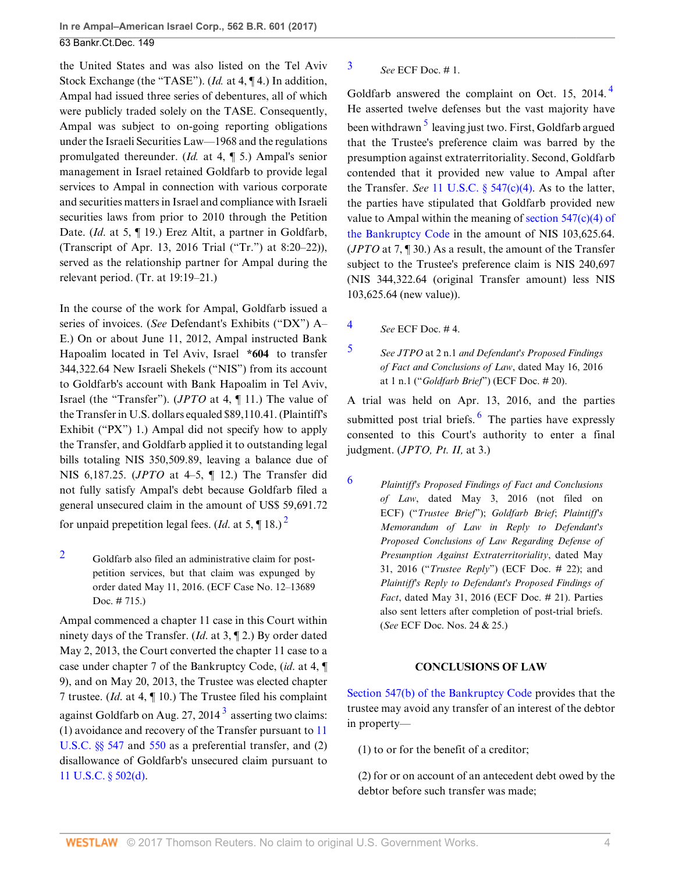the United States and was also listed on the Tel Aviv Stock Exchange (the "TASE"). (*Id.* at 4, ¶ 4.) In addition, Ampal had issued three series of debentures, all of which were publicly traded solely on the TASE. Consequently, Ampal was subject to on-going reporting obligations under the Israeli Securities Law—1968 and the regulations promulgated thereunder. (*Id.* at 4, ¶ 5.) Ampal's senior management in Israel retained Goldfarb to provide legal services to Ampal in connection with various corporate and securities matters in Israel and compliance with Israeli securities laws from prior to 2010 through the Petition Date. (*Id.* at 5, ¶ 19.) Erez Altit, a partner in Goldfarb, (Transcript of Apr. 13, 2016 Trial ("Tr.") at 8:20–22)), served as the relationship partner for Ampal during the relevant period. (Tr. at 19:19–21.)

In the course of the work for Ampal, Goldfarb issued a series of invoices. (*See* Defendant's Exhibits ("DX") A– E.) On or about June 11, 2012, Ampal instructed Bank Hapoalim located in Tel Aviv, Israel **\*604** to transfer 344,322.64 New Israeli Shekels ("NIS") from its account to Goldfarb's account with Bank Hapoalim in Tel Aviv, Israel (the "Transfer"). (*JPTO* at 4, ¶ 11.) The value of the Transfer in U.S. dollars equaled \$89,110.41. (Plaintiff's Exhibit ("PX") 1.) Ampal did not specify how to apply the Transfer, and Goldfarb applied it to outstanding legal bills totaling NIS 350,509.89, leaving a balance due of NIS 6,187.25. (*JPTO* at 4–5, ¶ 12.) The Transfer did not fully satisfy Ampal's debt because Goldfarb filed a general unsecured claim in the amount of US\$ 59,691.72 for unpaid prepetition legal fees. (*Id.* at 5,  $\P$  18.)<sup>[2](#page-3-0)</sup>

<span id="page-3-0"></span>[2](#page-3-1) Goldfarb also filed an administrative claim for postpetition services, but that claim was expunged by order dated May 11, 2016. (ECF Case No. 12–13689 Doc. # 715.)

Ampal commenced a chapter 11 case in this Court within ninety days of the Transfer. (*Id*. at 3, ¶ 2.) By order dated May 2, 2013, the Court converted the chapter 11 case to a case under chapter 7 of the Bankruptcy Code, (*id*. at 4, ¶ 9), and on May 20, 2013, the Trustee was elected chapter 7 trustee. (*Id*. at 4, ¶ 10.) The Trustee filed his complaint against Goldfarb on Aug. 27, 2014 $^3$  $^3$  asserting two claims: (1) avoidance and recovery of the Transfer pursuant to [11](http://www.westlaw.com/Link/Document/FullText?findType=L&pubNum=1000546&cite=11USCAS547&originatingDoc=Ifbf9f7d0d6fa11e6b27be1b44e7e7e5b&refType=LQ&originationContext=document&vr=3.0&rs=cblt1.0&transitionType=DocumentItem&contextData=(sc.Search)) [U.S.C. §§ 547](http://www.westlaw.com/Link/Document/FullText?findType=L&pubNum=1000546&cite=11USCAS547&originatingDoc=Ifbf9f7d0d6fa11e6b27be1b44e7e7e5b&refType=LQ&originationContext=document&vr=3.0&rs=cblt1.0&transitionType=DocumentItem&contextData=(sc.Search)) and [550](http://www.westlaw.com/Link/Document/FullText?findType=L&pubNum=1000546&cite=11USCAS550&originatingDoc=Ifbf9f7d0d6fa11e6b27be1b44e7e7e5b&refType=LQ&originationContext=document&vr=3.0&rs=cblt1.0&transitionType=DocumentItem&contextData=(sc.Search)) as a preferential transfer, and (2) disallowance of Goldfarb's unsecured claim pursuant to [11 U.S.C. § 502\(d\).](http://www.westlaw.com/Link/Document/FullText?findType=L&pubNum=1000546&cite=11USCAS502&originatingDoc=Ifbf9f7d0d6fa11e6b27be1b44e7e7e5b&refType=SP&originationContext=document&vr=3.0&rs=cblt1.0&transitionType=DocumentItem&contextData=(sc.Search)#co_pp_5ba1000067d06)

# <span id="page-3-2"></span>[3](#page-3-3) *See* ECF Doc. # 1.

<span id="page-3-7"></span><span id="page-3-6"></span>Goldfarb answered the complaint on Oct. 15, 201[4](#page-3-4).<sup>4</sup> He asserted twelve defenses but the vast majority have been withdrawn <sup>[5](#page-3-5)</sup> leaving just two. First, Goldfarb argued that the Trustee's preference claim was barred by the presumption against extraterritoriality. Second, Goldfarb contended that it provided new value to Ampal after the Transfer. *See* [11 U.S.C. § 547\(c\)\(4\).](http://www.westlaw.com/Link/Document/FullText?findType=L&pubNum=1000546&cite=11USCAS547&originatingDoc=Ifbf9f7d0d6fa11e6b27be1b44e7e7e5b&refType=SP&originationContext=document&vr=3.0&rs=cblt1.0&transitionType=DocumentItem&contextData=(sc.Search)#co_pp_0c120000563a1) As to the latter, the parties have stipulated that Goldfarb provided new value to Ampal within the meaning of section  $547(c)(4)$  of [the Bankruptcy Code](http://www.westlaw.com/Link/Document/FullText?findType=L&pubNum=1000611&cite=11USCAS547&originatingDoc=Ifbf9f7d0d6fa11e6b27be1b44e7e7e5b&refType=LQ&originationContext=document&vr=3.0&rs=cblt1.0&transitionType=DocumentItem&contextData=(sc.Search)) in the amount of NIS 103,625.64. (*JPTO* at 7, ¶ 30.) As a result, the amount of the Transfer subject to the Trustee's preference claim is NIS 240,697 (NIS 344,322.64 (original Transfer amount) less NIS 103,625.64 (new value)).

<span id="page-3-4"></span>[4](#page-3-6) *See* ECF Doc. # 4.

<span id="page-3-5"></span>[5](#page-3-7) *See JTPO* at 2 n.1 *and Defendant's Proposed Findings of Fact and Conclusions of Law*, dated May 16, 2016 at 1 n.1 ("*Goldfarb Brief*") (ECF Doc. # 20).

<span id="page-3-9"></span>A trial was held on Apr. 13, 2016, and the parties submitted post trial briefs. <sup>[6](#page-3-8)</sup> The parties have expressly consented to this Court's authority to enter a final judgment. (*JPTO, Pt. II,* at 3.)

<span id="page-3-8"></span><span id="page-3-1"></span>[6](#page-3-9) *Plaintiff's Proposed Findings of Fact and Conclusions of Law*, dated May 3, 2016 (not filed on ECF) ("*Trustee Brief*"); *Goldfarb Brief*; *Plaintiff's Memorandum of Law in Reply to Defendant's Proposed Conclusions of Law Regarding Defense of Presumption Against Extraterritoriality*, dated May 31, 2016 ("*Trustee Reply*") (ECF Doc. # 22); and *Plaintiff's Reply to Defendant's Proposed Findings of Fact*, dated May 31, 2016 (ECF Doc. # 21). Parties also sent letters after completion of post-trial briefs. (*See* ECF Doc. Nos. 24 & 25.)

# **CONCLUSIONS OF LAW**

<span id="page-3-3"></span>[Section 547\(b\) of the Bankruptcy Code](http://www.westlaw.com/Link/Document/FullText?findType=L&pubNum=1000611&cite=11USCAS547&originatingDoc=Ifbf9f7d0d6fa11e6b27be1b44e7e7e5b&refType=LQ&originationContext=document&vr=3.0&rs=cblt1.0&transitionType=DocumentItem&contextData=(sc.Search)) provides that the trustee may avoid any transfer of an interest of the debtor in property—

(1) to or for the benefit of a creditor;

(2) for or on account of an antecedent debt owed by the debtor before such transfer was made;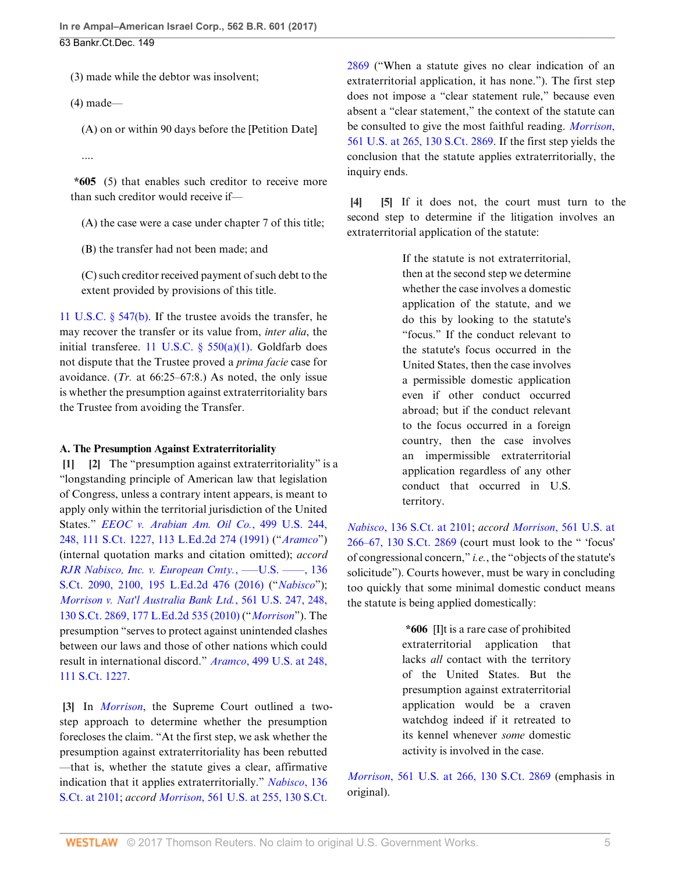(3) made while the debtor was insolvent;

 $(4)$  made—

(A) on or within 90 days before the [Petition Date]

....

**\*605** (5) that enables such creditor to receive more than such creditor would receive if—

(A) the case were a case under chapter 7 of this title;

(B) the transfer had not been made; and

(C) such creditor received payment of such debt to the extent provided by provisions of this title.

[11 U.S.C. § 547\(b\)](http://www.westlaw.com/Link/Document/FullText?findType=L&pubNum=1000546&cite=11USCAS547&originatingDoc=Ifbf9f7d0d6fa11e6b27be1b44e7e7e5b&refType=SP&originationContext=document&vr=3.0&rs=cblt1.0&transitionType=DocumentItem&contextData=(sc.Search)#co_pp_a83b000018c76). If the trustee avoids the transfer, he may recover the transfer or its value from, *inter alia*, the initial transferee. [11 U.S.C. § 550\(a\)\(1\).](http://www.westlaw.com/Link/Document/FullText?findType=L&pubNum=1000546&cite=11USCAS550&originatingDoc=Ifbf9f7d0d6fa11e6b27be1b44e7e7e5b&refType=SP&originationContext=document&vr=3.0&rs=cblt1.0&transitionType=DocumentItem&contextData=(sc.Search)#co_pp_7b9b000044381) Goldfarb does not dispute that the Trustee proved a *prima facie* case for avoidance. (*Tr.* at 66:25–67:8.) As noted, the only issue is whether the presumption against extraterritoriality bars the Trustee from avoiding the Transfer.

### **A. The Presumption Against Extraterritoriality**

<span id="page-4-1"></span><span id="page-4-0"></span>**[\[1](#page-0-0)] [\[2](#page-0-1)]** The "presumption against extraterritoriality" is a "longstanding principle of American law that legislation of Congress, unless a contrary intent appears, is meant to apply only within the territorial jurisdiction of the United States." *[EEOC v. Arabian Am. Oil Co.](http://www.westlaw.com/Link/Document/FullText?findType=Y&serNum=1991059722&pubNum=0000708&originatingDoc=Ifbf9f7d0d6fa11e6b27be1b44e7e7e5b&refType=RP&originationContext=document&vr=3.0&rs=cblt1.0&transitionType=DocumentItem&contextData=(sc.Search))*, 499 U.S. 244, [248, 111 S.Ct. 1227, 113 L.Ed.2d 274 \(1991\)](http://www.westlaw.com/Link/Document/FullText?findType=Y&serNum=1991059722&pubNum=0000708&originatingDoc=Ifbf9f7d0d6fa11e6b27be1b44e7e7e5b&refType=RP&originationContext=document&vr=3.0&rs=cblt1.0&transitionType=DocumentItem&contextData=(sc.Search)) ("*[Aramco](http://www.westlaw.com/Link/Document/FullText?findType=Y&serNum=1991059722&pubNum=0000780&originatingDoc=Ifbf9f7d0d6fa11e6b27be1b44e7e7e5b&refType=RP&originationContext=document&vr=3.0&rs=cblt1.0&transitionType=DocumentItem&contextData=(sc.Search))*") (internal quotation marks and citation omitted); *accord [RJR Nabisco, Inc. v. European Cmty.](http://www.westlaw.com/Link/Document/FullText?findType=Y&serNum=2039199305&pubNum=0000708&originatingDoc=Ifbf9f7d0d6fa11e6b27be1b44e7e7e5b&refType=RP&fi=co_pp_sp_708_2100&originationContext=document&vr=3.0&rs=cblt1.0&transitionType=DocumentItem&contextData=(sc.Search)#co_pp_sp_708_2100)*, –––U.S. ––––, 136 [S.Ct. 2090, 2100, 195 L.Ed.2d 476 \(2016\)](http://www.westlaw.com/Link/Document/FullText?findType=Y&serNum=2039199305&pubNum=0000708&originatingDoc=Ifbf9f7d0d6fa11e6b27be1b44e7e7e5b&refType=RP&fi=co_pp_sp_708_2100&originationContext=document&vr=3.0&rs=cblt1.0&transitionType=DocumentItem&contextData=(sc.Search)#co_pp_sp_708_2100) ("*[Nabisco](http://www.westlaw.com/Link/Document/FullText?findType=Y&serNum=2039199305&pubNum=0000708&originatingDoc=Ifbf9f7d0d6fa11e6b27be1b44e7e7e5b&refType=RP&originationContext=document&vr=3.0&rs=cblt1.0&transitionType=DocumentItem&contextData=(sc.Search))*"); *[Morrison v. Nat'l Australia Bank Ltd.](http://www.westlaw.com/Link/Document/FullText?findType=Y&serNum=2022366653&pubNum=0000708&originatingDoc=Ifbf9f7d0d6fa11e6b27be1b44e7e7e5b&refType=RP&originationContext=document&vr=3.0&rs=cblt1.0&transitionType=DocumentItem&contextData=(sc.Search))*, 561 U.S. 247, 248, [130 S.Ct. 2869, 177 L.Ed.2d 535 \(2010\)](http://www.westlaw.com/Link/Document/FullText?findType=Y&serNum=2022366653&pubNum=0000708&originatingDoc=Ifbf9f7d0d6fa11e6b27be1b44e7e7e5b&refType=RP&originationContext=document&vr=3.0&rs=cblt1.0&transitionType=DocumentItem&contextData=(sc.Search)) ("*[Morrison](http://www.westlaw.com/Link/Document/FullText?findType=Y&serNum=2022366653&pubNum=0000780&originatingDoc=Ifbf9f7d0d6fa11e6b27be1b44e7e7e5b&refType=RP&originationContext=document&vr=3.0&rs=cblt1.0&transitionType=DocumentItem&contextData=(sc.Search))*"). The presumption "serves to protect against unintended clashes between our laws and those of other nations which could result in international discord." *Aramco*[, 499 U.S. at 248,](http://www.westlaw.com/Link/Document/FullText?findType=Y&serNum=1991059722&pubNum=0000708&originatingDoc=Ifbf9f7d0d6fa11e6b27be1b44e7e7e5b&refType=RP&originationContext=document&vr=3.0&rs=cblt1.0&transitionType=DocumentItem&contextData=(sc.Search)) [111 S.Ct. 1227](http://www.westlaw.com/Link/Document/FullText?findType=Y&serNum=1991059722&pubNum=0000708&originatingDoc=Ifbf9f7d0d6fa11e6b27be1b44e7e7e5b&refType=RP&originationContext=document&vr=3.0&rs=cblt1.0&transitionType=DocumentItem&contextData=(sc.Search)).

<span id="page-4-2"></span>**[\[3](#page-0-2)]** In *[Morrison](http://www.westlaw.com/Link/Document/FullText?findType=Y&serNum=2022366653&pubNum=0000780&originatingDoc=Ifbf9f7d0d6fa11e6b27be1b44e7e7e5b&refType=RP&originationContext=document&vr=3.0&rs=cblt1.0&transitionType=DocumentItem&contextData=(sc.Search))*, the Supreme Court outlined a twostep approach to determine whether the presumption forecloses the claim. "At the first step, we ask whether the presumption against extraterritoriality has been rebutted —that is, whether the statute gives a clear, affirmative indication that it applies extraterritorially." *[Nabisco](http://www.westlaw.com/Link/Document/FullText?findType=Y&serNum=2039199305&pubNum=0000708&originatingDoc=Ifbf9f7d0d6fa11e6b27be1b44e7e7e5b&refType=RP&fi=co_pp_sp_708_2101&originationContext=document&vr=3.0&rs=cblt1.0&transitionType=DocumentItem&contextData=(sc.Search)#co_pp_sp_708_2101)*, 136 [S.Ct. at 2101;](http://www.westlaw.com/Link/Document/FullText?findType=Y&serNum=2039199305&pubNum=0000708&originatingDoc=Ifbf9f7d0d6fa11e6b27be1b44e7e7e5b&refType=RP&fi=co_pp_sp_708_2101&originationContext=document&vr=3.0&rs=cblt1.0&transitionType=DocumentItem&contextData=(sc.Search)#co_pp_sp_708_2101) *accord Morrison*[, 561 U.S. at 255, 130 S.Ct.](http://www.westlaw.com/Link/Document/FullText?findType=Y&serNum=2022366653&pubNum=0000708&originatingDoc=Ifbf9f7d0d6fa11e6b27be1b44e7e7e5b&refType=RP&originationContext=document&vr=3.0&rs=cblt1.0&transitionType=DocumentItem&contextData=(sc.Search))

[2869](http://www.westlaw.com/Link/Document/FullText?findType=Y&serNum=2022366653&pubNum=0000708&originatingDoc=Ifbf9f7d0d6fa11e6b27be1b44e7e7e5b&refType=RP&originationContext=document&vr=3.0&rs=cblt1.0&transitionType=DocumentItem&contextData=(sc.Search)) ("When a statute gives no clear indication of an extraterritorial application, it has none."). The first step does not impose a "clear statement rule," because even absent a "clear statement," the context of the statute can be consulted to give the most faithful reading. *[Morrison](http://www.westlaw.com/Link/Document/FullText?findType=Y&serNum=2022366653&pubNum=0000708&originatingDoc=Ifbf9f7d0d6fa11e6b27be1b44e7e7e5b&refType=RP&originationContext=document&vr=3.0&rs=cblt1.0&transitionType=DocumentItem&contextData=(sc.Search))*, [561 U.S. at 265, 130 S.Ct. 2869.](http://www.westlaw.com/Link/Document/FullText?findType=Y&serNum=2022366653&pubNum=0000708&originatingDoc=Ifbf9f7d0d6fa11e6b27be1b44e7e7e5b&refType=RP&originationContext=document&vr=3.0&rs=cblt1.0&transitionType=DocumentItem&contextData=(sc.Search)) If the first step yields the conclusion that the statute applies extraterritorially, the inquiry ends.

<span id="page-4-4"></span><span id="page-4-3"></span>**[\[4](#page-0-3)] [\[5](#page-1-2)]** If it does not, the court must turn to the second step to determine if the litigation involves an extraterritorial application of the statute:

> If the statute is not extraterritorial, then at the second step we determine whether the case involves a domestic application of the statute, and we do this by looking to the statute's "focus." If the conduct relevant to the statute's focus occurred in the United States, then the case involves a permissible domestic application even if other conduct occurred abroad; but if the conduct relevant to the focus occurred in a foreign country, then the case involves an impermissible extraterritorial application regardless of any other conduct that occurred in U.S. territory.

*Nabisco*[, 136 S.Ct. at 2101](http://www.westlaw.com/Link/Document/FullText?findType=Y&serNum=2039199305&pubNum=0000708&originatingDoc=Ifbf9f7d0d6fa11e6b27be1b44e7e7e5b&refType=RP&fi=co_pp_sp_708_2101&originationContext=document&vr=3.0&rs=cblt1.0&transitionType=DocumentItem&contextData=(sc.Search)#co_pp_sp_708_2101); *accord Morrison*[, 561 U.S. at](http://www.westlaw.com/Link/Document/FullText?findType=Y&serNum=2022366653&pubNum=0000708&originatingDoc=Ifbf9f7d0d6fa11e6b27be1b44e7e7e5b&refType=RP&originationContext=document&vr=3.0&rs=cblt1.0&transitionType=DocumentItem&contextData=(sc.Search)) [266–67, 130 S.Ct. 2869](http://www.westlaw.com/Link/Document/FullText?findType=Y&serNum=2022366653&pubNum=0000708&originatingDoc=Ifbf9f7d0d6fa11e6b27be1b44e7e7e5b&refType=RP&originationContext=document&vr=3.0&rs=cblt1.0&transitionType=DocumentItem&contextData=(sc.Search)) (court must look to the " 'focus' of congressional concern," *i.e.*, the "objects of the statute's solicitude"). Courts however, must be wary in concluding too quickly that some minimal domestic conduct means the statute is being applied domestically:

> **\*606** [I]t is a rare case of prohibited extraterritorial application that lacks *all* contact with the territory of the United States. But the presumption against extraterritorial application would be a craven watchdog indeed if it retreated to its kennel whenever *some* domestic activity is involved in the case.

*Morrison*[, 561 U.S. at 266, 130 S.Ct. 2869](http://www.westlaw.com/Link/Document/FullText?findType=Y&serNum=2022366653&pubNum=0000708&originatingDoc=Ifbf9f7d0d6fa11e6b27be1b44e7e7e5b&refType=RP&originationContext=document&vr=3.0&rs=cblt1.0&transitionType=DocumentItem&contextData=(sc.Search)) (emphasis in original).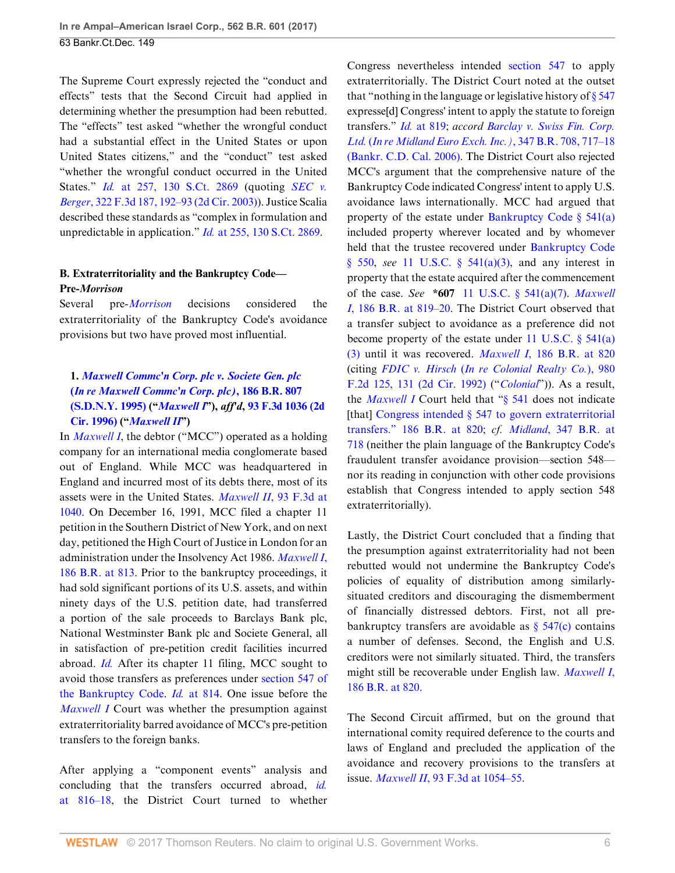The Supreme Court expressly rejected the "conduct and effects" tests that the Second Circuit had applied in determining whether the presumption had been rebutted. The "effects" test asked "whether the wrongful conduct had a substantial effect in the United States or upon United States citizens," and the "conduct" test asked "whether the wrongful conduct occurred in the United States." *Id.* [at 257, 130 S.Ct. 2869](http://www.westlaw.com/Link/Document/FullText?findType=Y&serNum=2022366653&pubNum=0000708&originatingDoc=Ifbf9f7d0d6fa11e6b27be1b44e7e7e5b&refType=RP&originationContext=document&vr=3.0&rs=cblt1.0&transitionType=DocumentItem&contextData=(sc.Search)) (quoting *[SEC v.](http://www.westlaw.com/Link/Document/FullText?findType=Y&serNum=2003183934&pubNum=0000506&originatingDoc=Ifbf9f7d0d6fa11e6b27be1b44e7e7e5b&refType=RP&fi=co_pp_sp_506_192&originationContext=document&vr=3.0&rs=cblt1.0&transitionType=DocumentItem&contextData=(sc.Search)#co_pp_sp_506_192) Berger*[, 322 F.3d 187, 192–93 \(2d Cir. 2003\)\)](http://www.westlaw.com/Link/Document/FullText?findType=Y&serNum=2003183934&pubNum=0000506&originatingDoc=Ifbf9f7d0d6fa11e6b27be1b44e7e7e5b&refType=RP&fi=co_pp_sp_506_192&originationContext=document&vr=3.0&rs=cblt1.0&transitionType=DocumentItem&contextData=(sc.Search)#co_pp_sp_506_192). Justice Scalia described these standards as "complex in formulation and unpredictable in application." *Id.* [at 255, 130 S.Ct. 2869](http://www.westlaw.com/Link/Document/FullText?findType=Y&serNum=2022366653&pubNum=0000708&originatingDoc=Ifbf9f7d0d6fa11e6b27be1b44e7e7e5b&refType=RP&originationContext=document&vr=3.0&rs=cblt1.0&transitionType=DocumentItem&contextData=(sc.Search)).

# **B. Extraterritoriality and the Bankruptcy Code— Pre-***Morrison*

Several pre-*[Morrison](http://www.westlaw.com/Link/Document/FullText?findType=Y&serNum=2022366653&pubNum=0000780&originatingDoc=Ifbf9f7d0d6fa11e6b27be1b44e7e7e5b&refType=RP&originationContext=document&vr=3.0&rs=cblt1.0&transitionType=DocumentItem&contextData=(sc.Search))* decisions considered the extraterritoriality of the Bankruptcy Code's avoidance provisions but two have proved most influential.

# **1.** *[Maxwell Commc'n Corp. plc v. Societe Gen. plc](http://www.westlaw.com/Link/Document/FullText?findType=Y&serNum=1995188145&pubNum=0000164&originatingDoc=Ifbf9f7d0d6fa11e6b27be1b44e7e7e5b&refType=RP&originationContext=document&vr=3.0&rs=cblt1.0&transitionType=DocumentItem&contextData=(sc.Search))* **(***[In re Maxwell Commc'n Corp. plc\)](http://www.westlaw.com/Link/Document/FullText?findType=Y&serNum=1995188145&pubNum=0000164&originatingDoc=Ifbf9f7d0d6fa11e6b27be1b44e7e7e5b&refType=RP&originationContext=document&vr=3.0&rs=cblt1.0&transitionType=DocumentItem&contextData=(sc.Search))***, 186 B.R. 807 [\(S.D.N.Y. 1995\)](http://www.westlaw.com/Link/Document/FullText?findType=Y&serNum=1995188145&pubNum=0000164&originatingDoc=Ifbf9f7d0d6fa11e6b27be1b44e7e7e5b&refType=RP&originationContext=document&vr=3.0&rs=cblt1.0&transitionType=DocumentItem&contextData=(sc.Search)) ("***[Maxwell I](http://www.westlaw.com/Link/Document/FullText?findType=Y&serNum=1995188145&originatingDoc=Ifbf9f7d0d6fa11e6b27be1b44e7e7e5b&refType=RP&originationContext=document&vr=3.0&rs=cblt1.0&transitionType=DocumentItem&contextData=(sc.Search))***"),** *aff'd***, [93 F.3d 1036 \(2d](http://www.westlaw.com/Link/Document/FullText?findType=Y&serNum=1996193794&pubNum=0000506&originatingDoc=Ifbf9f7d0d6fa11e6b27be1b44e7e7e5b&refType=RP&originationContext=document&vr=3.0&rs=cblt1.0&transitionType=DocumentItem&contextData=(sc.Search)) [Cir. 1996\)](http://www.westlaw.com/Link/Document/FullText?findType=Y&serNum=1996193794&pubNum=0000506&originatingDoc=Ifbf9f7d0d6fa11e6b27be1b44e7e7e5b&refType=RP&originationContext=document&vr=3.0&rs=cblt1.0&transitionType=DocumentItem&contextData=(sc.Search)) ("***[Maxwell II](http://www.westlaw.com/Link/Document/FullText?findType=Y&serNum=1996193794&pubNum=0000506&originatingDoc=Ifbf9f7d0d6fa11e6b27be1b44e7e7e5b&refType=RP&originationContext=document&vr=3.0&rs=cblt1.0&transitionType=DocumentItem&contextData=(sc.Search))***")**

In *[Maxwell I](http://www.westlaw.com/Link/Document/FullText?findType=Y&serNum=1995188145&pubNum=0000506&originatingDoc=Ifbf9f7d0d6fa11e6b27be1b44e7e7e5b&refType=RP&originationContext=document&vr=3.0&rs=cblt1.0&transitionType=DocumentItem&contextData=(sc.Search))*, the debtor ("MCC") operated as a holding company for an international media conglomerate based out of England. While MCC was headquartered in England and incurred most of its debts there, most of its assets were in the United States. *Maxwell II*[, 93 F.3d at](http://www.westlaw.com/Link/Document/FullText?findType=Y&serNum=1996193794&pubNum=0000506&originatingDoc=Ifbf9f7d0d6fa11e6b27be1b44e7e7e5b&refType=RP&fi=co_pp_sp_506_1040&originationContext=document&vr=3.0&rs=cblt1.0&transitionType=DocumentItem&contextData=(sc.Search)#co_pp_sp_506_1040) [1040](http://www.westlaw.com/Link/Document/FullText?findType=Y&serNum=1996193794&pubNum=0000506&originatingDoc=Ifbf9f7d0d6fa11e6b27be1b44e7e7e5b&refType=RP&fi=co_pp_sp_506_1040&originationContext=document&vr=3.0&rs=cblt1.0&transitionType=DocumentItem&contextData=(sc.Search)#co_pp_sp_506_1040). On December 16, 1991, MCC filed a chapter 11 petition in the Southern District of New York, and on next day, petitioned the High Court of Justice in London for an administration under the Insolvency Act 1986. *[Maxwell I](http://www.westlaw.com/Link/Document/FullText?findType=Y&serNum=1995188145&pubNum=0000164&originatingDoc=Ifbf9f7d0d6fa11e6b27be1b44e7e7e5b&refType=RP&fi=co_pp_sp_164_813&originationContext=document&vr=3.0&rs=cblt1.0&transitionType=DocumentItem&contextData=(sc.Search)#co_pp_sp_164_813)*, [186 B.R. at 813.](http://www.westlaw.com/Link/Document/FullText?findType=Y&serNum=1995188145&pubNum=0000164&originatingDoc=Ifbf9f7d0d6fa11e6b27be1b44e7e7e5b&refType=RP&fi=co_pp_sp_164_813&originationContext=document&vr=3.0&rs=cblt1.0&transitionType=DocumentItem&contextData=(sc.Search)#co_pp_sp_164_813) Prior to the bankruptcy proceedings, it had sold significant portions of its U.S. assets, and within ninety days of the U.S. petition date, had transferred a portion of the sale proceeds to Barclays Bank plc, National Westminster Bank plc and Societe General, all in satisfaction of pre-petition credit facilities incurred abroad. *[Id.](http://www.westlaw.com/Link/Document/FullText?findType=Y&serNum=1995188145&pubNum=0000164&originatingDoc=Ifbf9f7d0d6fa11e6b27be1b44e7e7e5b&refType=RP&originationContext=document&vr=3.0&rs=cblt1.0&transitionType=DocumentItem&contextData=(sc.Search))* After its chapter 11 filing, MCC sought to avoid those transfers as preferences under [section 547 of](http://www.westlaw.com/Link/Document/FullText?findType=L&pubNum=1000611&cite=11USCAS547&originatingDoc=Ifbf9f7d0d6fa11e6b27be1b44e7e7e5b&refType=LQ&originationContext=document&vr=3.0&rs=cblt1.0&transitionType=DocumentItem&contextData=(sc.Search)) [the Bankruptcy Code.](http://www.westlaw.com/Link/Document/FullText?findType=L&pubNum=1000611&cite=11USCAS547&originatingDoc=Ifbf9f7d0d6fa11e6b27be1b44e7e7e5b&refType=LQ&originationContext=document&vr=3.0&rs=cblt1.0&transitionType=DocumentItem&contextData=(sc.Search)) *Id.* [at 814](http://www.westlaw.com/Link/Document/FullText?findType=Y&serNum=1995188145&pubNum=0000164&originatingDoc=Ifbf9f7d0d6fa11e6b27be1b44e7e7e5b&refType=RP&fi=co_pp_sp_164_814&originationContext=document&vr=3.0&rs=cblt1.0&transitionType=DocumentItem&contextData=(sc.Search)#co_pp_sp_164_814). One issue before the *[Maxwell I](http://www.westlaw.com/Link/Document/FullText?findType=Y&serNum=1995188145&pubNum=0000164&originatingDoc=Ifbf9f7d0d6fa11e6b27be1b44e7e7e5b&refType=RP&originationContext=document&vr=3.0&rs=cblt1.0&transitionType=DocumentItem&contextData=(sc.Search))* Court was whether the presumption against extraterritoriality barred avoidance of MCC's pre-petition transfers to the foreign banks.

After applying a "component events" analysis and concluding that the transfers occurred abroad, *[id.](http://www.westlaw.com/Link/Document/FullText?findType=Y&serNum=1995188145&pubNum=0000164&originatingDoc=Ifbf9f7d0d6fa11e6b27be1b44e7e7e5b&refType=RP&fi=co_pp_sp_164_816&originationContext=document&vr=3.0&rs=cblt1.0&transitionType=DocumentItem&contextData=(sc.Search)#co_pp_sp_164_816)* [at 816–18,](http://www.westlaw.com/Link/Document/FullText?findType=Y&serNum=1995188145&pubNum=0000164&originatingDoc=Ifbf9f7d0d6fa11e6b27be1b44e7e7e5b&refType=RP&fi=co_pp_sp_164_816&originationContext=document&vr=3.0&rs=cblt1.0&transitionType=DocumentItem&contextData=(sc.Search)#co_pp_sp_164_816) the District Court turned to whether

Congress nevertheless intended [section 547](http://www.westlaw.com/Link/Document/FullText?findType=L&pubNum=1000611&cite=11USCAS547&originatingDoc=Ifbf9f7d0d6fa11e6b27be1b44e7e7e5b&refType=LQ&originationContext=document&vr=3.0&rs=cblt1.0&transitionType=DocumentItem&contextData=(sc.Search)) to apply extraterritorially. The District Court noted at the outset that "nothing in the language or legislative history of  $\S 547$ expresse[d] Congress' intent to apply the statute to foreign transfers." *Id.* [at 819;](http://www.westlaw.com/Link/Document/FullText?findType=Y&serNum=1995188145&pubNum=0000164&originatingDoc=Ifbf9f7d0d6fa11e6b27be1b44e7e7e5b&refType=RP&fi=co_pp_sp_164_819&originationContext=document&vr=3.0&rs=cblt1.0&transitionType=DocumentItem&contextData=(sc.Search)#co_pp_sp_164_819) *accord [Barclay v. Swiss Fin. Corp.](http://www.westlaw.com/Link/Document/FullText?findType=Y&serNum=2009743716&pubNum=0000164&originatingDoc=Ifbf9f7d0d6fa11e6b27be1b44e7e7e5b&refType=RP&fi=co_pp_sp_164_717&originationContext=document&vr=3.0&rs=cblt1.0&transitionType=DocumentItem&contextData=(sc.Search)#co_pp_sp_164_717) Ltd.* (*[In re Midland Euro Exch. Inc.\)](http://www.westlaw.com/Link/Document/FullText?findType=Y&serNum=2009743716&pubNum=0000164&originatingDoc=Ifbf9f7d0d6fa11e6b27be1b44e7e7e5b&refType=RP&fi=co_pp_sp_164_717&originationContext=document&vr=3.0&rs=cblt1.0&transitionType=DocumentItem&contextData=(sc.Search)#co_pp_sp_164_717)*, 347 B.R. 708, 717–18 [\(Bankr. C.D. Cal. 2006\)](http://www.westlaw.com/Link/Document/FullText?findType=Y&serNum=2009743716&pubNum=0000164&originatingDoc=Ifbf9f7d0d6fa11e6b27be1b44e7e7e5b&refType=RP&fi=co_pp_sp_164_717&originationContext=document&vr=3.0&rs=cblt1.0&transitionType=DocumentItem&contextData=(sc.Search)#co_pp_sp_164_717). The District Court also rejected MCC's argument that the comprehensive nature of the Bankruptcy Code indicated Congress' intent to apply U.S. avoidance laws internationally. MCC had argued that property of the estate under Bankruptcy Code  $\S$  541(a) included property wherever located and by whomever held that the trustee recovered under [Bankruptcy Code](http://www.westlaw.com/Link/Document/FullText?findType=L&pubNum=1000611&cite=11USCAS550&originatingDoc=Ifbf9f7d0d6fa11e6b27be1b44e7e7e5b&refType=LQ&originationContext=document&vr=3.0&rs=cblt1.0&transitionType=DocumentItem&contextData=(sc.Search)) [§ 550](http://www.westlaw.com/Link/Document/FullText?findType=L&pubNum=1000611&cite=11USCAS550&originatingDoc=Ifbf9f7d0d6fa11e6b27be1b44e7e7e5b&refType=LQ&originationContext=document&vr=3.0&rs=cblt1.0&transitionType=DocumentItem&contextData=(sc.Search)), *see* [11 U.S.C. § 541\(a\)\(3\),](http://www.westlaw.com/Link/Document/FullText?findType=L&pubNum=1000546&cite=11USCAS541&originatingDoc=Ifbf9f7d0d6fa11e6b27be1b44e7e7e5b&refType=SP&originationContext=document&vr=3.0&rs=cblt1.0&transitionType=DocumentItem&contextData=(sc.Search)#co_pp_28cc0000ccca6) and any interest in property that the estate acquired after the commencement of the case. *See* **\*607** [11 U.S.C. § 541\(a\)\(7\)](http://www.westlaw.com/Link/Document/FullText?findType=L&pubNum=1000546&cite=11USCAS541&originatingDoc=Ifbf9f7d0d6fa11e6b27be1b44e7e7e5b&refType=SP&originationContext=document&vr=3.0&rs=cblt1.0&transitionType=DocumentItem&contextData=(sc.Search)#co_pp_36f10000408d4). *[Maxwell](http://www.westlaw.com/Link/Document/FullText?findType=Y&serNum=1995188145&pubNum=0000164&originatingDoc=Ifbf9f7d0d6fa11e6b27be1b44e7e7e5b&refType=RP&fi=co_pp_sp_164_819&originationContext=document&vr=3.0&rs=cblt1.0&transitionType=DocumentItem&contextData=(sc.Search)#co_pp_sp_164_819) I*[, 186 B.R. at 819–20](http://www.westlaw.com/Link/Document/FullText?findType=Y&serNum=1995188145&pubNum=0000164&originatingDoc=Ifbf9f7d0d6fa11e6b27be1b44e7e7e5b&refType=RP&fi=co_pp_sp_164_819&originationContext=document&vr=3.0&rs=cblt1.0&transitionType=DocumentItem&contextData=(sc.Search)#co_pp_sp_164_819). The District Court observed that a transfer subject to avoidance as a preference did not become property of the estate under [11 U.S.C. § 541\(a\)](http://www.westlaw.com/Link/Document/FullText?findType=L&pubNum=1000546&cite=11USCAS541&originatingDoc=Ifbf9f7d0d6fa11e6b27be1b44e7e7e5b&refType=SP&originationContext=document&vr=3.0&rs=cblt1.0&transitionType=DocumentItem&contextData=(sc.Search)#co_pp_28cc0000ccca6) [\(3\)](http://www.westlaw.com/Link/Document/FullText?findType=L&pubNum=1000546&cite=11USCAS541&originatingDoc=Ifbf9f7d0d6fa11e6b27be1b44e7e7e5b&refType=SP&originationContext=document&vr=3.0&rs=cblt1.0&transitionType=DocumentItem&contextData=(sc.Search)#co_pp_28cc0000ccca6) until it was recovered. *Maxwell I*[, 186 B.R. at 820](http://www.westlaw.com/Link/Document/FullText?findType=Y&serNum=1995188145&pubNum=0000164&originatingDoc=Ifbf9f7d0d6fa11e6b27be1b44e7e7e5b&refType=RP&fi=co_pp_sp_164_820&originationContext=document&vr=3.0&rs=cblt1.0&transitionType=DocumentItem&contextData=(sc.Search)#co_pp_sp_164_820) (citing *FDIC v. Hirsch* (*[In re Colonial Realty Co.](http://www.westlaw.com/Link/Document/FullText?findType=Y&serNum=1992199618&pubNum=0000350&originatingDoc=Ifbf9f7d0d6fa11e6b27be1b44e7e7e5b&refType=RP&fi=co_pp_sp_350_131&originationContext=document&vr=3.0&rs=cblt1.0&transitionType=DocumentItem&contextData=(sc.Search)#co_pp_sp_350_131)*), 980 [F.2d 125, 131 \(2d Cir. 1992\)](http://www.westlaw.com/Link/Document/FullText?findType=Y&serNum=1992199618&pubNum=0000350&originatingDoc=Ifbf9f7d0d6fa11e6b27be1b44e7e7e5b&refType=RP&fi=co_pp_sp_350_131&originationContext=document&vr=3.0&rs=cblt1.0&transitionType=DocumentItem&contextData=(sc.Search)#co_pp_sp_350_131) ("*[Colonial](http://www.westlaw.com/Link/Document/FullText?findType=Y&serNum=1992199618&pubNum=0000350&originatingDoc=Ifbf9f7d0d6fa11e6b27be1b44e7e7e5b&refType=RP&originationContext=document&vr=3.0&rs=cblt1.0&transitionType=DocumentItem&contextData=(sc.Search))*")). As a result, the *[Maxwell I](http://www.westlaw.com/Link/Document/FullText?findType=Y&serNum=1995188145&pubNum=0000164&originatingDoc=Ifbf9f7d0d6fa11e6b27be1b44e7e7e5b&refType=RP&originationContext=document&vr=3.0&rs=cblt1.0&transitionType=DocumentItem&contextData=(sc.Search))* Court held that ["§ 541](http://www.westlaw.com/Link/Document/FullText?findType=L&pubNum=1000546&cite=11USCAS541&originatingDoc=Ifbf9f7d0d6fa11e6b27be1b44e7e7e5b&refType=LQ&originationContext=document&vr=3.0&rs=cblt1.0&transitionType=DocumentItem&contextData=(sc.Search)) does not indicate [that] [Congress intended § 547 to govern extraterritorial](http://www.westlaw.com/Link/Document/FullText?findType=Y&serNum=1995188145&pubNum=0000164&originatingDoc=Ifbf9f7d0d6fa11e6b27be1b44e7e7e5b&refType=RP&fi=co_pp_sp_164_820&originationContext=document&vr=3.0&rs=cblt1.0&transitionType=DocumentItem&contextData=(sc.Search)#co_pp_sp_164_820) [transfers." 186 B.R. at 820](http://www.westlaw.com/Link/Document/FullText?findType=Y&serNum=1995188145&pubNum=0000164&originatingDoc=Ifbf9f7d0d6fa11e6b27be1b44e7e7e5b&refType=RP&fi=co_pp_sp_164_820&originationContext=document&vr=3.0&rs=cblt1.0&transitionType=DocumentItem&contextData=(sc.Search)#co_pp_sp_164_820); *cf. Midland*[, 347 B.R. at](http://www.westlaw.com/Link/Document/FullText?findType=Y&serNum=2009743716&pubNum=0000164&originatingDoc=Ifbf9f7d0d6fa11e6b27be1b44e7e7e5b&refType=RP&fi=co_pp_sp_164_718&originationContext=document&vr=3.0&rs=cblt1.0&transitionType=DocumentItem&contextData=(sc.Search)#co_pp_sp_164_718) [718](http://www.westlaw.com/Link/Document/FullText?findType=Y&serNum=2009743716&pubNum=0000164&originatingDoc=Ifbf9f7d0d6fa11e6b27be1b44e7e7e5b&refType=RP&fi=co_pp_sp_164_718&originationContext=document&vr=3.0&rs=cblt1.0&transitionType=DocumentItem&contextData=(sc.Search)#co_pp_sp_164_718) (neither the plain language of the Bankruptcy Code's fraudulent transfer avoidance provision—section 548 nor its reading in conjunction with other code provisions establish that Congress intended to apply section 548 extraterritorially).

Lastly, the District Court concluded that a finding that the presumption against extraterritoriality had not been rebutted would not undermine the Bankruptcy Code's policies of equality of distribution among similarlysituated creditors and discouraging the dismemberment of financially distressed debtors. First, not all prebankruptcy transfers are avoidable as  $\S$  547(c) contains a number of defenses. Second, the English and U.S. creditors were not similarly situated. Third, the transfers might still be recoverable under English law. *[Maxwell I](http://www.westlaw.com/Link/Document/FullText?findType=Y&serNum=1995188145&pubNum=0000164&originatingDoc=Ifbf9f7d0d6fa11e6b27be1b44e7e7e5b&refType=RP&fi=co_pp_sp_164_820&originationContext=document&vr=3.0&rs=cblt1.0&transitionType=DocumentItem&contextData=(sc.Search)#co_pp_sp_164_820)*, [186 B.R. at 820.](http://www.westlaw.com/Link/Document/FullText?findType=Y&serNum=1995188145&pubNum=0000164&originatingDoc=Ifbf9f7d0d6fa11e6b27be1b44e7e7e5b&refType=RP&fi=co_pp_sp_164_820&originationContext=document&vr=3.0&rs=cblt1.0&transitionType=DocumentItem&contextData=(sc.Search)#co_pp_sp_164_820)

The Second Circuit affirmed, but on the ground that international comity required deference to the courts and laws of England and precluded the application of the avoidance and recovery provisions to the transfers at issue. *Maxwell II*[, 93 F.3d at 1054–55.](http://www.westlaw.com/Link/Document/FullText?findType=Y&serNum=1996193794&pubNum=0000506&originatingDoc=Ifbf9f7d0d6fa11e6b27be1b44e7e7e5b&refType=RP&fi=co_pp_sp_506_1054&originationContext=document&vr=3.0&rs=cblt1.0&transitionType=DocumentItem&contextData=(sc.Search)#co_pp_sp_506_1054)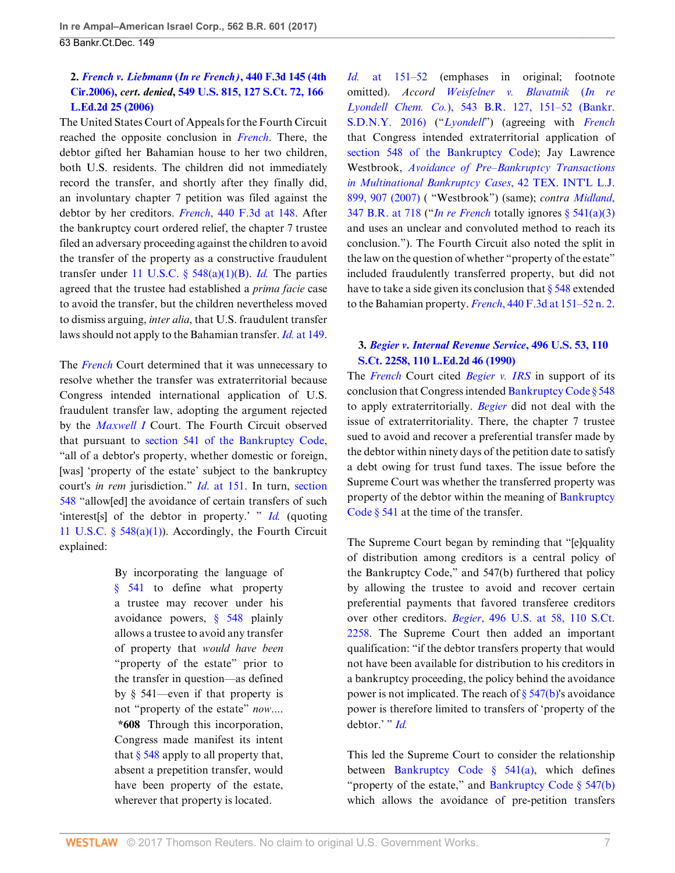# **2.** *[French v. Liebmann](http://www.westlaw.com/Link/Document/FullText?findType=Y&serNum=2008409278&pubNum=0000506&originatingDoc=Ifbf9f7d0d6fa11e6b27be1b44e7e7e5b&refType=RP&originationContext=document&vr=3.0&rs=cblt1.0&transitionType=DocumentItem&contextData=(sc.Search))* **(***In re French)***, 440 F.3d 145 (4th [Cir.2006\),](http://www.westlaw.com/Link/Document/FullText?findType=Y&serNum=2008409278&pubNum=0000506&originatingDoc=Ifbf9f7d0d6fa11e6b27be1b44e7e7e5b&refType=RP&originationContext=document&vr=3.0&rs=cblt1.0&transitionType=DocumentItem&contextData=(sc.Search))** *cert. denied***, [549 U.S. 815, 127 S.Ct. 72, 166](http://www.westlaw.com/Link/Document/FullText?findType=Y&serNum=2009299148&pubNum=0000708&originatingDoc=Ifbf9f7d0d6fa11e6b27be1b44e7e7e5b&refType=RP&originationContext=document&vr=3.0&rs=cblt1.0&transitionType=DocumentItem&contextData=(sc.Search)) [L.Ed.2d 25 \(2006\)](http://www.westlaw.com/Link/Document/FullText?findType=Y&serNum=2009299148&pubNum=0000708&originatingDoc=Ifbf9f7d0d6fa11e6b27be1b44e7e7e5b&refType=RP&originationContext=document&vr=3.0&rs=cblt1.0&transitionType=DocumentItem&contextData=(sc.Search))**

The United States Court of Appeals for the Fourth Circuit reached the opposite conclusion in *[French](http://www.westlaw.com/Link/Document/FullText?findType=Y&serNum=2008409278&pubNum=0000506&originatingDoc=Ifbf9f7d0d6fa11e6b27be1b44e7e7e5b&refType=RP&originationContext=document&vr=3.0&rs=cblt1.0&transitionType=DocumentItem&contextData=(sc.Search))*. There, the debtor gifted her Bahamian house to her two children, both U.S. residents. The children did not immediately record the transfer, and shortly after they finally did, an involuntary chapter 7 petition was filed against the debtor by her creditors. *French*[, 440 F.3d at 148.](http://www.westlaw.com/Link/Document/FullText?findType=Y&serNum=2008409278&pubNum=0000506&originatingDoc=Ifbf9f7d0d6fa11e6b27be1b44e7e7e5b&refType=RP&fi=co_pp_sp_506_148&originationContext=document&vr=3.0&rs=cblt1.0&transitionType=DocumentItem&contextData=(sc.Search)#co_pp_sp_506_148) After the bankruptcy court ordered relief, the chapter 7 trustee filed an adversary proceeding against the children to avoid the transfer of the property as a constructive fraudulent transfer under [11 U.S.C. § 548\(a\)\(1\)\(B\).](http://www.westlaw.com/Link/Document/FullText?findType=L&pubNum=1000546&cite=11USCAS548&originatingDoc=Ifbf9f7d0d6fa11e6b27be1b44e7e7e5b&refType=SP&originationContext=document&vr=3.0&rs=cblt1.0&transitionType=DocumentItem&contextData=(sc.Search)#co_pp_50660000823d1) *[Id.](http://www.westlaw.com/Link/Document/FullText?findType=Y&serNum=2008409278&pubNum=0000506&originatingDoc=Ifbf9f7d0d6fa11e6b27be1b44e7e7e5b&refType=RP&originationContext=document&vr=3.0&rs=cblt1.0&transitionType=DocumentItem&contextData=(sc.Search))* The parties agreed that the trustee had established a *prima facie* case to avoid the transfer, but the children nevertheless moved to dismiss arguing, *inter alia*, that U.S. fraudulent transfer laws should not apply to the Bahamian transfer. *Id.* [at 149](http://www.westlaw.com/Link/Document/FullText?findType=Y&serNum=2008409278&pubNum=0000506&originatingDoc=Ifbf9f7d0d6fa11e6b27be1b44e7e7e5b&refType=RP&fi=co_pp_sp_506_149&originationContext=document&vr=3.0&rs=cblt1.0&transitionType=DocumentItem&contextData=(sc.Search)#co_pp_sp_506_149).

The *[French](http://www.westlaw.com/Link/Document/FullText?findType=Y&serNum=2008409278&pubNum=0000506&originatingDoc=Ifbf9f7d0d6fa11e6b27be1b44e7e7e5b&refType=RP&originationContext=document&vr=3.0&rs=cblt1.0&transitionType=DocumentItem&contextData=(sc.Search))* Court determined that it was unnecessary to resolve whether the transfer was extraterritorial because Congress intended international application of U.S. fraudulent transfer law, adopting the argument rejected by the *[Maxwell I](http://www.westlaw.com/Link/Document/FullText?findType=Y&serNum=1995188145&pubNum=0000164&originatingDoc=Ifbf9f7d0d6fa11e6b27be1b44e7e7e5b&refType=RP&originationContext=document&vr=3.0&rs=cblt1.0&transitionType=DocumentItem&contextData=(sc.Search))* Court. The Fourth Circuit observed that pursuant to [section 541 of the Bankruptcy Code](http://www.westlaw.com/Link/Document/FullText?findType=L&pubNum=1000611&cite=11USCAS541&originatingDoc=Ifbf9f7d0d6fa11e6b27be1b44e7e7e5b&refType=LQ&originationContext=document&vr=3.0&rs=cblt1.0&transitionType=DocumentItem&contextData=(sc.Search)), "all of a debtor's property, whether domestic or foreign, [was] 'property of the estate' subject to the bankruptcy court's *in rem* jurisdiction." *Id*[. at 151.](http://www.westlaw.com/Link/Document/FullText?findType=Y&serNum=2008409278&pubNum=0000506&originatingDoc=Ifbf9f7d0d6fa11e6b27be1b44e7e7e5b&refType=RP&fi=co_pp_sp_506_151&originationContext=document&vr=3.0&rs=cblt1.0&transitionType=DocumentItem&contextData=(sc.Search)#co_pp_sp_506_151) In turn, [section](http://www.westlaw.com/Link/Document/FullText?findType=L&pubNum=1000546&cite=11USCAS548&originatingDoc=Ifbf9f7d0d6fa11e6b27be1b44e7e7e5b&refType=LQ&originationContext=document&vr=3.0&rs=cblt1.0&transitionType=DocumentItem&contextData=(sc.Search)) [548](http://www.westlaw.com/Link/Document/FullText?findType=L&pubNum=1000546&cite=11USCAS548&originatingDoc=Ifbf9f7d0d6fa11e6b27be1b44e7e7e5b&refType=LQ&originationContext=document&vr=3.0&rs=cblt1.0&transitionType=DocumentItem&contextData=(sc.Search)) "allow[ed] the avoidance of certain transfers of such 'interest[s] of the debtor in property.' " *[Id.](http://www.westlaw.com/Link/Document/FullText?findType=Y&serNum=2008409278&pubNum=0000506&originatingDoc=Ifbf9f7d0d6fa11e6b27be1b44e7e7e5b&refType=RP&originationContext=document&vr=3.0&rs=cblt1.0&transitionType=DocumentItem&contextData=(sc.Search))* (quoting [11 U.S.C. § 548\(a\)\(1\)\)](http://www.westlaw.com/Link/Document/FullText?findType=L&pubNum=1000546&cite=11USCAS548&originatingDoc=Ifbf9f7d0d6fa11e6b27be1b44e7e7e5b&refType=SP&originationContext=document&vr=3.0&rs=cblt1.0&transitionType=DocumentItem&contextData=(sc.Search)#co_pp_7b9b000044381). Accordingly, the Fourth Circuit explained:

> By incorporating the language of [§ 541](http://www.westlaw.com/Link/Document/FullText?findType=L&pubNum=1000611&cite=11USCAS541&originatingDoc=Ifbf9f7d0d6fa11e6b27be1b44e7e7e5b&refType=LQ&originationContext=document&vr=3.0&rs=cblt1.0&transitionType=DocumentItem&contextData=(sc.Search)) to define what property a trustee may recover under his avoidance powers, [§ 548](http://www.westlaw.com/Link/Document/FullText?findType=L&pubNum=1000546&cite=11USCAS548&originatingDoc=Ifbf9f7d0d6fa11e6b27be1b44e7e7e5b&refType=LQ&originationContext=document&vr=3.0&rs=cblt1.0&transitionType=DocumentItem&contextData=(sc.Search)) plainly allows a trustee to avoid any transfer of property that *would have been* "property of the estate" prior to the transfer in question—as defined by § 541—even if that property is not "property of the estate" *now*.... **\*608** Through this incorporation, Congress made manifest its intent that  $\S$  548 apply to all property that, absent a prepetition transfer, would have been property of the estate, wherever that property is located.

*Id.* [at 151–52](http://www.westlaw.com/Link/Document/FullText?findType=Y&serNum=2008409278&pubNum=0000506&originatingDoc=Ifbf9f7d0d6fa11e6b27be1b44e7e7e5b&refType=RP&fi=co_pp_sp_506_151&originationContext=document&vr=3.0&rs=cblt1.0&transitionType=DocumentItem&contextData=(sc.Search)#co_pp_sp_506_151) (emphases in original; footnote omitted). *Accord [Weisfelner v. Blavatnik](http://www.westlaw.com/Link/Document/FullText?findType=Y&serNum=2037954008&pubNum=0000164&originatingDoc=Ifbf9f7d0d6fa11e6b27be1b44e7e7e5b&refType=RP&fi=co_pp_sp_164_151&originationContext=document&vr=3.0&rs=cblt1.0&transitionType=DocumentItem&contextData=(sc.Search)#co_pp_sp_164_151)* (*In re Lyondell Chem. Co.*[\), 543 B.R. 127, 151–52 \(Bankr.](http://www.westlaw.com/Link/Document/FullText?findType=Y&serNum=2037954008&pubNum=0000164&originatingDoc=Ifbf9f7d0d6fa11e6b27be1b44e7e7e5b&refType=RP&fi=co_pp_sp_164_151&originationContext=document&vr=3.0&rs=cblt1.0&transitionType=DocumentItem&contextData=(sc.Search)#co_pp_sp_164_151) [S.D.N.Y. 2016\)](http://www.westlaw.com/Link/Document/FullText?findType=Y&serNum=2037954008&pubNum=0000164&originatingDoc=Ifbf9f7d0d6fa11e6b27be1b44e7e7e5b&refType=RP&fi=co_pp_sp_164_151&originationContext=document&vr=3.0&rs=cblt1.0&transitionType=DocumentItem&contextData=(sc.Search)#co_pp_sp_164_151) ("*[Lyondell](http://www.westlaw.com/Link/Document/FullText?findType=Y&serNum=2037954008&pubNum=0000164&originatingDoc=Ifbf9f7d0d6fa11e6b27be1b44e7e7e5b&refType=RP&originationContext=document&vr=3.0&rs=cblt1.0&transitionType=DocumentItem&contextData=(sc.Search))*") (agreeing with *[French](http://www.westlaw.com/Link/Document/FullText?findType=Y&serNum=2008409278&pubNum=0000506&originatingDoc=Ifbf9f7d0d6fa11e6b27be1b44e7e7e5b&refType=RP&originationContext=document&vr=3.0&rs=cblt1.0&transitionType=DocumentItem&contextData=(sc.Search))* that Congress intended extraterritorial application of [section 548 of the Bankruptcy Code](http://www.westlaw.com/Link/Document/FullText?findType=L&pubNum=1000611&cite=11USCAS548&originatingDoc=Ifbf9f7d0d6fa11e6b27be1b44e7e7e5b&refType=LQ&originationContext=document&vr=3.0&rs=cblt1.0&transitionType=DocumentItem&contextData=(sc.Search))); Jay Lawrence Westbrook, *[Avoidance of Pre–Bankruptcy Transactions](http://www.westlaw.com/Link/Document/FullText?findType=Y&serNum=0333224807&pubNum=0001480&originatingDoc=Ifbf9f7d0d6fa11e6b27be1b44e7e7e5b&refType=LR&fi=co_pp_sp_1480_907&originationContext=document&vr=3.0&rs=cblt1.0&transitionType=DocumentItem&contextData=(sc.Search)#co_pp_sp_1480_907) [in Multinational Bankruptcy Cases](http://www.westlaw.com/Link/Document/FullText?findType=Y&serNum=0333224807&pubNum=0001480&originatingDoc=Ifbf9f7d0d6fa11e6b27be1b44e7e7e5b&refType=LR&fi=co_pp_sp_1480_907&originationContext=document&vr=3.0&rs=cblt1.0&transitionType=DocumentItem&contextData=(sc.Search)#co_pp_sp_1480_907)*, 42 TEX. INT'L L.J. [899, 907 \(2007\)](http://www.westlaw.com/Link/Document/FullText?findType=Y&serNum=0333224807&pubNum=0001480&originatingDoc=Ifbf9f7d0d6fa11e6b27be1b44e7e7e5b&refType=LR&fi=co_pp_sp_1480_907&originationContext=document&vr=3.0&rs=cblt1.0&transitionType=DocumentItem&contextData=(sc.Search)#co_pp_sp_1480_907) ( "Westbrook") (same); *contra [Midland](http://www.westlaw.com/Link/Document/FullText?findType=Y&serNum=2009743716&pubNum=0000164&originatingDoc=Ifbf9f7d0d6fa11e6b27be1b44e7e7e5b&refType=RP&fi=co_pp_sp_164_718&originationContext=document&vr=3.0&rs=cblt1.0&transitionType=DocumentItem&contextData=(sc.Search)#co_pp_sp_164_718)*, [347 B.R. at 718](http://www.westlaw.com/Link/Document/FullText?findType=Y&serNum=2009743716&pubNum=0000164&originatingDoc=Ifbf9f7d0d6fa11e6b27be1b44e7e7e5b&refType=RP&fi=co_pp_sp_164_718&originationContext=document&vr=3.0&rs=cblt1.0&transitionType=DocumentItem&contextData=(sc.Search)#co_pp_sp_164_718) ("*[In re French](http://www.westlaw.com/Link/Document/FullText?findType=Y&serNum=2008409278&pubNum=0000506&originatingDoc=Ifbf9f7d0d6fa11e6b27be1b44e7e7e5b&refType=RP&originationContext=document&vr=3.0&rs=cblt1.0&transitionType=DocumentItem&contextData=(sc.Search))* totally ignores [§ 541\(a\)\(3\)](http://www.westlaw.com/Link/Document/FullText?findType=L&pubNum=1000611&cite=11USCAS541&originatingDoc=Ifbf9f7d0d6fa11e6b27be1b44e7e7e5b&refType=LQ&originationContext=document&vr=3.0&rs=cblt1.0&transitionType=DocumentItem&contextData=(sc.Search)) and uses an unclear and convoluted method to reach its conclusion."). The Fourth Circuit also noted the split in the law on the question of whether "property of the estate" included fraudulently transferred property, but did not have to take a side given its conclusion that  $\S$  548 extended to the Bahamian property. *French*[, 440 F.3d at 151–52 n. 2](http://www.westlaw.com/Link/Document/FullText?findType=Y&serNum=2008409278&pubNum=0000506&originatingDoc=Ifbf9f7d0d6fa11e6b27be1b44e7e7e5b&refType=RP&fi=co_pp_sp_506_151&originationContext=document&vr=3.0&rs=cblt1.0&transitionType=DocumentItem&contextData=(sc.Search)#co_pp_sp_506_151).

# **3.** *[Begier v. Internal Revenue Service](http://www.westlaw.com/Link/Document/FullText?findType=Y&serNum=1990086717&pubNum=0000708&originatingDoc=Ifbf9f7d0d6fa11e6b27be1b44e7e7e5b&refType=RP&originationContext=document&vr=3.0&rs=cblt1.0&transitionType=DocumentItem&contextData=(sc.Search))***, 496 U.S. 53, 110 [S.Ct. 2258, 110 L.Ed.2d 46 \(1990\)](http://www.westlaw.com/Link/Document/FullText?findType=Y&serNum=1990086717&pubNum=0000708&originatingDoc=Ifbf9f7d0d6fa11e6b27be1b44e7e7e5b&refType=RP&originationContext=document&vr=3.0&rs=cblt1.0&transitionType=DocumentItem&contextData=(sc.Search))**

The *[French](http://www.westlaw.com/Link/Document/FullText?findType=Y&serNum=2008409278&pubNum=0000506&originatingDoc=Ifbf9f7d0d6fa11e6b27be1b44e7e7e5b&refType=RP&originationContext=document&vr=3.0&rs=cblt1.0&transitionType=DocumentItem&contextData=(sc.Search))* Court cited *[Begier v. IRS](http://www.westlaw.com/Link/Document/FullText?findType=Y&serNum=1990086717&pubNum=0000780&originatingDoc=Ifbf9f7d0d6fa11e6b27be1b44e7e7e5b&refType=RP&originationContext=document&vr=3.0&rs=cblt1.0&transitionType=DocumentItem&contextData=(sc.Search))* in support of its conclusion that Congress intended [Bankruptcy Code § 548](http://www.westlaw.com/Link/Document/FullText?findType=L&pubNum=1000611&cite=11USCAS548&originatingDoc=Ifbf9f7d0d6fa11e6b27be1b44e7e7e5b&refType=LQ&originationContext=document&vr=3.0&rs=cblt1.0&transitionType=DocumentItem&contextData=(sc.Search)) to apply extraterritorially. *[Begier](http://www.westlaw.com/Link/Document/FullText?findType=Y&serNum=1990086717&pubNum=0000780&originatingDoc=Ifbf9f7d0d6fa11e6b27be1b44e7e7e5b&refType=RP&originationContext=document&vr=3.0&rs=cblt1.0&transitionType=DocumentItem&contextData=(sc.Search))* did not deal with the issue of extraterritoriality. There, the chapter 7 trustee sued to avoid and recover a preferential transfer made by the debtor within ninety days of the petition date to satisfy a debt owing for trust fund taxes. The issue before the Supreme Court was whether the transferred property was property of the debtor within the meaning of [Bankruptcy](http://www.westlaw.com/Link/Document/FullText?findType=L&pubNum=1000611&cite=11USCAS541&originatingDoc=Ifbf9f7d0d6fa11e6b27be1b44e7e7e5b&refType=LQ&originationContext=document&vr=3.0&rs=cblt1.0&transitionType=DocumentItem&contextData=(sc.Search)) [Code § 541](http://www.westlaw.com/Link/Document/FullText?findType=L&pubNum=1000611&cite=11USCAS541&originatingDoc=Ifbf9f7d0d6fa11e6b27be1b44e7e7e5b&refType=LQ&originationContext=document&vr=3.0&rs=cblt1.0&transitionType=DocumentItem&contextData=(sc.Search)) at the time of the transfer.

The Supreme Court began by reminding that "[e]quality of distribution among creditors is a central policy of the Bankruptcy Code," and 547(b) furthered that policy by allowing the trustee to avoid and recover certain preferential payments that favored transferee creditors over other creditors. *Begier*[, 496 U.S. at 58, 110 S.Ct.](http://www.westlaw.com/Link/Document/FullText?findType=Y&serNum=1990086717&pubNum=0000708&originatingDoc=Ifbf9f7d0d6fa11e6b27be1b44e7e7e5b&refType=RP&fi=co_pp_sp_708_58&originationContext=document&vr=3.0&rs=cblt1.0&transitionType=DocumentItem&contextData=(sc.Search)#co_pp_sp_708_58) [2258](http://www.westlaw.com/Link/Document/FullText?findType=Y&serNum=1990086717&pubNum=0000708&originatingDoc=Ifbf9f7d0d6fa11e6b27be1b44e7e7e5b&refType=RP&fi=co_pp_sp_708_58&originationContext=document&vr=3.0&rs=cblt1.0&transitionType=DocumentItem&contextData=(sc.Search)#co_pp_sp_708_58). The Supreme Court then added an important qualification: "if the debtor transfers property that would not have been available for distribution to his creditors in a bankruptcy proceeding, the policy behind the avoidance power is not implicated. The reach of [§ 547\(b\)](http://www.westlaw.com/Link/Document/FullText?findType=L&pubNum=1000611&cite=11USCAS547&originatingDoc=Ifbf9f7d0d6fa11e6b27be1b44e7e7e5b&refType=LQ&originationContext=document&vr=3.0&rs=cblt1.0&transitionType=DocumentItem&contextData=(sc.Search))'s avoidance power is therefore limited to transfers of 'property of the debtor.' " *[Id.](http://www.westlaw.com/Link/Document/FullText?findType=Y&serNum=1990086717&pubNum=0000780&originatingDoc=Ifbf9f7d0d6fa11e6b27be1b44e7e7e5b&refType=RP&originationContext=document&vr=3.0&rs=cblt1.0&transitionType=DocumentItem&contextData=(sc.Search))*

This led the Supreme Court to consider the relationship between [Bankruptcy Code § 541\(a\),](http://www.westlaw.com/Link/Document/FullText?findType=L&pubNum=1000611&cite=11USCAS541&originatingDoc=Ifbf9f7d0d6fa11e6b27be1b44e7e7e5b&refType=LQ&originationContext=document&vr=3.0&rs=cblt1.0&transitionType=DocumentItem&contextData=(sc.Search)) which defines "property of the estate," and [Bankruptcy Code § 547\(b\)](http://www.westlaw.com/Link/Document/FullText?findType=L&pubNum=1000611&cite=11USCAS547&originatingDoc=Ifbf9f7d0d6fa11e6b27be1b44e7e7e5b&refType=LQ&originationContext=document&vr=3.0&rs=cblt1.0&transitionType=DocumentItem&contextData=(sc.Search)) which allows the avoidance of pre-petition transfers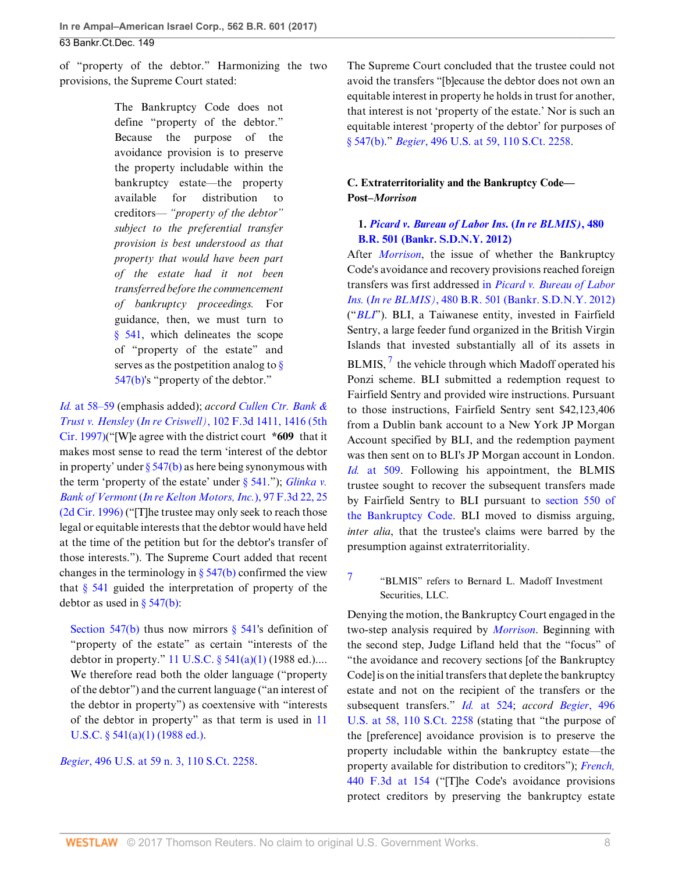of "property of the debtor." Harmonizing the two provisions, the Supreme Court stated:

> The Bankruptcy Code does not define "property of the debtor." Because the purpose of the avoidance provision is to preserve the property includable within the bankruptcy estate—the property available for distribution to creditors— *"property of the debtor" subject to the preferential transfer provision is best understood as that property that would have been part of the estate had it not been transferred before the commencement of bankruptcy proceedings.* For guidance, then, we must turn to [§ 541](http://www.westlaw.com/Link/Document/FullText?findType=L&pubNum=1000611&cite=11USCAS541&originatingDoc=Ifbf9f7d0d6fa11e6b27be1b44e7e7e5b&refType=LQ&originationContext=document&vr=3.0&rs=cblt1.0&transitionType=DocumentItem&contextData=(sc.Search)), which delineates the scope of "property of the estate" and serves as the postpetition analog to  $\frac{8}{9}$ [547\(b\)](http://www.westlaw.com/Link/Document/FullText?findType=L&pubNum=1000611&cite=11USCAS547&originatingDoc=Ifbf9f7d0d6fa11e6b27be1b44e7e7e5b&refType=LQ&originationContext=document&vr=3.0&rs=cblt1.0&transitionType=DocumentItem&contextData=(sc.Search))'s "property of the debtor."

*Id.* [at 58–59](http://www.westlaw.com/Link/Document/FullText?findType=Y&serNum=1990086717&pubNum=0000780&originatingDoc=Ifbf9f7d0d6fa11e6b27be1b44e7e7e5b&refType=RP&fi=co_pp_sp_780_58&originationContext=document&vr=3.0&rs=cblt1.0&transitionType=DocumentItem&contextData=(sc.Search)#co_pp_sp_780_58) (emphasis added); *accord [Cullen Ctr. Bank &](http://www.westlaw.com/Link/Document/FullText?findType=Y&serNum=1996279401&pubNum=0000506&originatingDoc=Ifbf9f7d0d6fa11e6b27be1b44e7e7e5b&refType=RP&fi=co_pp_sp_506_1416&originationContext=document&vr=3.0&rs=cblt1.0&transitionType=DocumentItem&contextData=(sc.Search)#co_pp_sp_506_1416) Trust v. Hensley* (*In re Criswell)*[, 102 F.3d 1411, 1416 \(5th](http://www.westlaw.com/Link/Document/FullText?findType=Y&serNum=1996279401&pubNum=0000506&originatingDoc=Ifbf9f7d0d6fa11e6b27be1b44e7e7e5b&refType=RP&fi=co_pp_sp_506_1416&originationContext=document&vr=3.0&rs=cblt1.0&transitionType=DocumentItem&contextData=(sc.Search)#co_pp_sp_506_1416) [Cir. 1997\)\(](http://www.westlaw.com/Link/Document/FullText?findType=Y&serNum=1996279401&pubNum=0000506&originatingDoc=Ifbf9f7d0d6fa11e6b27be1b44e7e7e5b&refType=RP&fi=co_pp_sp_506_1416&originationContext=document&vr=3.0&rs=cblt1.0&transitionType=DocumentItem&contextData=(sc.Search)#co_pp_sp_506_1416)"[W]e agree with the district court **\*609** that it makes most sense to read the term 'interest of the debtor in property' under  $\S 547(b)$  as here being synonymous with the term 'property of the estate' under [§ 541](http://www.westlaw.com/Link/Document/FullText?findType=L&pubNum=1000611&cite=11USCAS541&originatingDoc=Ifbf9f7d0d6fa11e6b27be1b44e7e7e5b&refType=LQ&originationContext=document&vr=3.0&rs=cblt1.0&transitionType=DocumentItem&contextData=(sc.Search))."); *[Glinka v.](http://www.westlaw.com/Link/Document/FullText?findType=Y&serNum=1996217538&pubNum=0000506&originatingDoc=Ifbf9f7d0d6fa11e6b27be1b44e7e7e5b&refType=RP&fi=co_pp_sp_506_25&originationContext=document&vr=3.0&rs=cblt1.0&transitionType=DocumentItem&contextData=(sc.Search)#co_pp_sp_506_25) Bank of Vermont* (*[In re Kelton Motors, Inc.](http://www.westlaw.com/Link/Document/FullText?findType=Y&serNum=1996217538&pubNum=0000506&originatingDoc=Ifbf9f7d0d6fa11e6b27be1b44e7e7e5b&refType=RP&fi=co_pp_sp_506_25&originationContext=document&vr=3.0&rs=cblt1.0&transitionType=DocumentItem&contextData=(sc.Search)#co_pp_sp_506_25)*), 97 F.3d 22, 25 [\(2d Cir. 1996\)](http://www.westlaw.com/Link/Document/FullText?findType=Y&serNum=1996217538&pubNum=0000506&originatingDoc=Ifbf9f7d0d6fa11e6b27be1b44e7e7e5b&refType=RP&fi=co_pp_sp_506_25&originationContext=document&vr=3.0&rs=cblt1.0&transitionType=DocumentItem&contextData=(sc.Search)#co_pp_sp_506_25) ("[T]he trustee may only seek to reach those legal or equitable interests that the debtor would have held at the time of the petition but for the debtor's transfer of those interests."). The Supreme Court added that recent changes in the terminology in  $\S$  547(b) confirmed the view that  $\S$  541 guided the interpretation of property of the debtor as used in  $\S$  547(b):

[Section 547\(b\)](http://www.westlaw.com/Link/Document/FullText?findType=L&pubNum=1000611&cite=11USCAS547&originatingDoc=Ifbf9f7d0d6fa11e6b27be1b44e7e7e5b&refType=LQ&originationContext=document&vr=3.0&rs=cblt1.0&transitionType=DocumentItem&contextData=(sc.Search)) thus now mirrors  $\S$  541's definition of "property of the estate" as certain "interests of the debtor in property." [11 U.S.C. § 541\(a\)\(1\)](http://www.westlaw.com/Link/Document/FullText?findType=L&pubNum=1000546&cite=11USCAS541&originatingDoc=Ifbf9f7d0d6fa11e6b27be1b44e7e7e5b&refType=SP&originationContext=document&vr=3.0&rs=cblt1.0&transitionType=DocumentItem&contextData=(sc.Search)#co_pp_7b9b000044381) (1988 ed.).... We therefore read both the older language ("property of the debtor") and the current language ("an interest of the debtor in property") as coextensive with "interests of the debtor in property" as that term is used in [11](http://www.westlaw.com/Link/Document/FullText?findType=L&pubNum=1000546&cite=11USCAS541&originatingDoc=Ifbf9f7d0d6fa11e6b27be1b44e7e7e5b&refType=SP&originationContext=document&vr=3.0&rs=cblt1.0&transitionType=DocumentItem&contextData=(sc.Search)#co_pp_7b9b000044381) U.S.C.  $\S$  541(a)(1) (1988 ed.).

*Begier*[, 496 U.S. at 59 n. 3, 110 S.Ct. 2258](http://www.westlaw.com/Link/Document/FullText?findType=Y&serNum=1990086717&pubNum=0000708&originatingDoc=Ifbf9f7d0d6fa11e6b27be1b44e7e7e5b&refType=RP&originationContext=document&vr=3.0&rs=cblt1.0&transitionType=DocumentItem&contextData=(sc.Search)).

The Supreme Court concluded that the trustee could not avoid the transfers "[b]ecause the debtor does not own an equitable interest in property he holds in trust for another, that interest is not 'property of the estate.' Nor is such an equitable interest 'property of the debtor' for purposes of [§ 547\(b\).](http://www.westlaw.com/Link/Document/FullText?findType=L&pubNum=1000611&cite=11USCAS547&originatingDoc=Ifbf9f7d0d6fa11e6b27be1b44e7e7e5b&refType=LQ&originationContext=document&vr=3.0&rs=cblt1.0&transitionType=DocumentItem&contextData=(sc.Search))" *Begier*[, 496 U.S. at 59, 110 S.Ct. 2258.](http://www.westlaw.com/Link/Document/FullText?findType=Y&serNum=1990086717&pubNum=0000708&originatingDoc=Ifbf9f7d0d6fa11e6b27be1b44e7e7e5b&refType=RP&originationContext=document&vr=3.0&rs=cblt1.0&transitionType=DocumentItem&contextData=(sc.Search))

# **C. Extraterritoriality and the Bankruptcy Code— Post–***Morrison*

# **1.** *[Picard v. Bureau of Labor Ins.](http://www.westlaw.com/Link/Document/FullText?findType=Y&serNum=2028864184&pubNum=0000164&originatingDoc=Ifbf9f7d0d6fa11e6b27be1b44e7e7e5b&refType=RP&originationContext=document&vr=3.0&rs=cblt1.0&transitionType=DocumentItem&contextData=(sc.Search))* **(***In re BLMIS)***, 480 [B.R. 501 \(Bankr. S.D.N.Y. 2012\)](http://www.westlaw.com/Link/Document/FullText?findType=Y&serNum=2028864184&pubNum=0000164&originatingDoc=Ifbf9f7d0d6fa11e6b27be1b44e7e7e5b&refType=RP&originationContext=document&vr=3.0&rs=cblt1.0&transitionType=DocumentItem&contextData=(sc.Search))**

<span id="page-7-1"></span>After *[Morrison](http://www.westlaw.com/Link/Document/FullText?findType=Y&serNum=2022366653&pubNum=0000780&originatingDoc=Ifbf9f7d0d6fa11e6b27be1b44e7e7e5b&refType=RP&originationContext=document&vr=3.0&rs=cblt1.0&transitionType=DocumentItem&contextData=(sc.Search))*, the issue of whether the Bankruptcy Code's avoidance and recovery provisions reached foreign transfers was first addressed in *[Picard v. Bureau of Labor](http://www.westlaw.com/Link/Document/FullText?findType=Y&serNum=2028864184&pubNum=0000164&originatingDoc=Ifbf9f7d0d6fa11e6b27be1b44e7e7e5b&refType=RP&originationContext=document&vr=3.0&rs=cblt1.0&transitionType=DocumentItem&contextData=(sc.Search)) Ins.* (*In re BLMIS)*[, 480 B.R. 501 \(Bankr. S.D.N.Y. 2012\)](http://www.westlaw.com/Link/Document/FullText?findType=Y&serNum=2028864184&pubNum=0000164&originatingDoc=Ifbf9f7d0d6fa11e6b27be1b44e7e7e5b&refType=RP&originationContext=document&vr=3.0&rs=cblt1.0&transitionType=DocumentItem&contextData=(sc.Search)) ("*[BLI](http://www.westlaw.com/Link/Document/FullText?findType=Y&serNum=2028864184&originatingDoc=Ifbf9f7d0d6fa11e6b27be1b44e7e7e5b&refType=RP&originationContext=document&vr=3.0&rs=cblt1.0&transitionType=DocumentItem&contextData=(sc.Search))*"). BLI, a Taiwanese entity, invested in Fairfield Sentry, a large feeder fund organized in the British Virgin Islands that invested substantially all of its assets in BLMIS,  $\frac{7}{7}$  $\frac{7}{7}$  $\frac{7}{7}$  the vehicle through which Madoff operated his Ponzi scheme. BLI submitted a redemption request to Fairfield Sentry and provided wire instructions. Pursuant to those instructions, Fairfield Sentry sent \$42,123,406 from a Dublin bank account to a New York JP Morgan Account specified by BLI, and the redemption payment was then sent on to BLI's JP Morgan account in London. *Id.* [at 509](http://www.westlaw.com/Link/Document/FullText?findType=Y&serNum=2028864184&pubNum=0000164&originatingDoc=Ifbf9f7d0d6fa11e6b27be1b44e7e7e5b&refType=RP&fi=co_pp_sp_164_509&originationContext=document&vr=3.0&rs=cblt1.0&transitionType=DocumentItem&contextData=(sc.Search)#co_pp_sp_164_509). Following his appointment, the BLMIS trustee sought to recover the subsequent transfers made by Fairfield Sentry to BLI pursuant to [section 550 of](http://www.westlaw.com/Link/Document/FullText?findType=L&pubNum=1000611&cite=11USCAS550&originatingDoc=Ifbf9f7d0d6fa11e6b27be1b44e7e7e5b&refType=LQ&originationContext=document&vr=3.0&rs=cblt1.0&transitionType=DocumentItem&contextData=(sc.Search)) [the Bankruptcy Code.](http://www.westlaw.com/Link/Document/FullText?findType=L&pubNum=1000611&cite=11USCAS550&originatingDoc=Ifbf9f7d0d6fa11e6b27be1b44e7e7e5b&refType=LQ&originationContext=document&vr=3.0&rs=cblt1.0&transitionType=DocumentItem&contextData=(sc.Search)) BLI moved to dismiss arguing, *inter alia*, that the trustee's claims were barred by the presumption against extraterritoriality.

<span id="page-7-0"></span>[7](#page-7-1) "BLMIS" refers to Bernard L. Madoff Investment Securities, LLC.

Denying the motion, the Bankruptcy Court engaged in the two-step analysis required by *[Morrison](http://www.westlaw.com/Link/Document/FullText?findType=Y&serNum=2022366653&pubNum=0000780&originatingDoc=Ifbf9f7d0d6fa11e6b27be1b44e7e7e5b&refType=RP&originationContext=document&vr=3.0&rs=cblt1.0&transitionType=DocumentItem&contextData=(sc.Search))*. Beginning with the second step, Judge Lifland held that the "focus" of "the avoidance and recovery sections [of the Bankruptcy Code] is on the initial transfers that deplete the bankruptcy estate and not on the recipient of the transfers or the subsequent transfers." *Id.* [at 524](http://www.westlaw.com/Link/Document/FullText?findType=Y&serNum=2028864184&pubNum=0000164&originatingDoc=Ifbf9f7d0d6fa11e6b27be1b44e7e7e5b&refType=RP&fi=co_pp_sp_164_524&originationContext=document&vr=3.0&rs=cblt1.0&transitionType=DocumentItem&contextData=(sc.Search)#co_pp_sp_164_524); *accord [Begier](http://www.westlaw.com/Link/Document/FullText?findType=Y&serNum=1990086717&pubNum=0000708&originatingDoc=Ifbf9f7d0d6fa11e6b27be1b44e7e7e5b&refType=RP&originationContext=document&vr=3.0&rs=cblt1.0&transitionType=DocumentItem&contextData=(sc.Search))*, 496 [U.S. at 58, 110 S.Ct. 2258](http://www.westlaw.com/Link/Document/FullText?findType=Y&serNum=1990086717&pubNum=0000708&originatingDoc=Ifbf9f7d0d6fa11e6b27be1b44e7e7e5b&refType=RP&originationContext=document&vr=3.0&rs=cblt1.0&transitionType=DocumentItem&contextData=(sc.Search)) (stating that "the purpose of the [preference] avoidance provision is to preserve the property includable within the bankruptcy estate—the property available for distribution to creditors"); *[French,](http://www.westlaw.com/Link/Document/FullText?findType=Y&serNum=2008409278&pubNum=0000506&originatingDoc=Ifbf9f7d0d6fa11e6b27be1b44e7e7e5b&refType=RP&fi=co_pp_sp_506_154&originationContext=document&vr=3.0&rs=cblt1.0&transitionType=DocumentItem&contextData=(sc.Search)#co_pp_sp_506_154)* [440 F.3d at 154](http://www.westlaw.com/Link/Document/FullText?findType=Y&serNum=2008409278&pubNum=0000506&originatingDoc=Ifbf9f7d0d6fa11e6b27be1b44e7e7e5b&refType=RP&fi=co_pp_sp_506_154&originationContext=document&vr=3.0&rs=cblt1.0&transitionType=DocumentItem&contextData=(sc.Search)#co_pp_sp_506_154) ("[T]he Code's avoidance provisions protect creditors by preserving the bankruptcy estate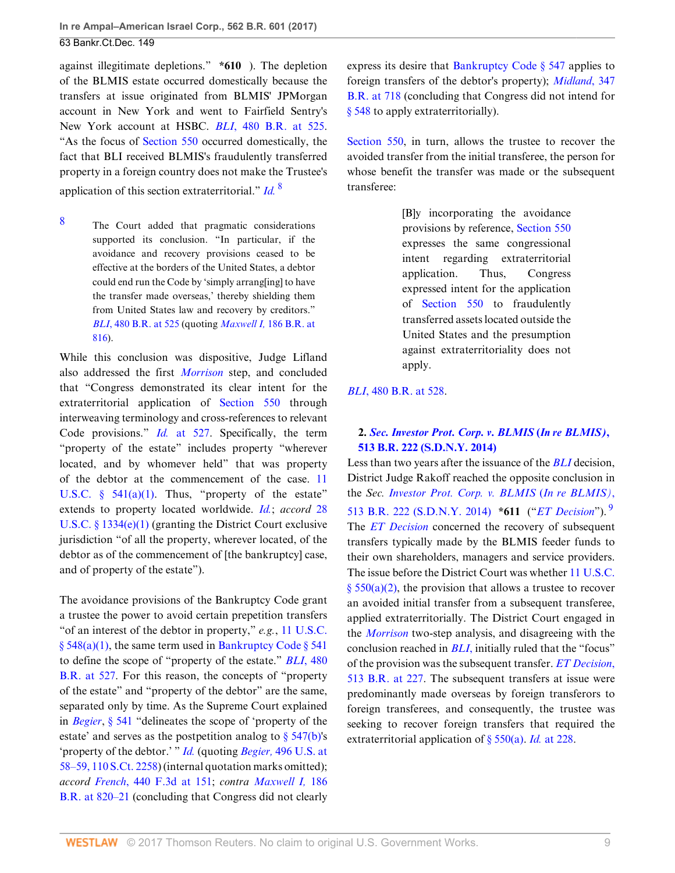against illegitimate depletions." **\*610** ). The depletion of the BLMIS estate occurred domestically because the transfers at issue originated from BLMIS' JPMorgan account in New York and went to Fairfield Sentry's New York account at HSBC. *BLI*[, 480 B.R. at 525](http://www.westlaw.com/Link/Document/FullText?findType=Y&serNum=2028864184&pubNum=0000164&originatingDoc=Ifbf9f7d0d6fa11e6b27be1b44e7e7e5b&refType=RP&fi=co_pp_sp_164_525&originationContext=document&vr=3.0&rs=cblt1.0&transitionType=DocumentItem&contextData=(sc.Search)#co_pp_sp_164_525). "As the focus of [Section 550](http://www.westlaw.com/Link/Document/FullText?findType=L&pubNum=1000611&cite=11USCAS550&originatingDoc=Ifbf9f7d0d6fa11e6b27be1b44e7e7e5b&refType=LQ&originationContext=document&vr=3.0&rs=cblt1.0&transitionType=DocumentItem&contextData=(sc.Search)) occurred domestically, the fact that BLI received BLMIS's fraudulently transferred property in a foreign country does not make the Trustee's application of this section extraterritorial." *[Id.](http://www.westlaw.com/Link/Document/FullText?findType=Y&serNum=2028864184&pubNum=0000164&originatingDoc=Ifbf9f7d0d6fa11e6b27be1b44e7e7e5b&refType=RP&originationContext=document&vr=3.0&rs=cblt1.0&transitionType=DocumentItem&contextData=(sc.Search))* [8](#page-8-0)

<span id="page-8-0"></span>[8](#page-8-1) The Court added that pragmatic considerations supported its conclusion. "In particular, if the avoidance and recovery provisions ceased to be effective at the borders of the United States, a debtor could end run the Code by 'simply arrang[ing] to have the transfer made overseas,' thereby shielding them from United States law and recovery by creditors." *BLI*[, 480 B.R. at 525](http://www.westlaw.com/Link/Document/FullText?findType=Y&serNum=2028864184&pubNum=0000164&originatingDoc=Ifbf9f7d0d6fa11e6b27be1b44e7e7e5b&refType=RP&fi=co_pp_sp_164_525&originationContext=document&vr=3.0&rs=cblt1.0&transitionType=DocumentItem&contextData=(sc.Search)#co_pp_sp_164_525) (quoting *Maxwell I,* [186 B.R. at](http://www.westlaw.com/Link/Document/FullText?findType=Y&serNum=1995188145&pubNum=0000164&originatingDoc=Ifbf9f7d0d6fa11e6b27be1b44e7e7e5b&refType=RP&fi=co_pp_sp_164_816&originationContext=document&vr=3.0&rs=cblt1.0&transitionType=DocumentItem&contextData=(sc.Search)#co_pp_sp_164_816) [816\)](http://www.westlaw.com/Link/Document/FullText?findType=Y&serNum=1995188145&pubNum=0000164&originatingDoc=Ifbf9f7d0d6fa11e6b27be1b44e7e7e5b&refType=RP&fi=co_pp_sp_164_816&originationContext=document&vr=3.0&rs=cblt1.0&transitionType=DocumentItem&contextData=(sc.Search)#co_pp_sp_164_816).

While this conclusion was dispositive, Judge Lifland also addressed the first *[Morrison](http://www.westlaw.com/Link/Document/FullText?findType=Y&serNum=2022366653&pubNum=0000780&originatingDoc=Ifbf9f7d0d6fa11e6b27be1b44e7e7e5b&refType=RP&originationContext=document&vr=3.0&rs=cblt1.0&transitionType=DocumentItem&contextData=(sc.Search))* step, and concluded that "Congress demonstrated its clear intent for the extraterritorial application of [Section 550](http://www.westlaw.com/Link/Document/FullText?findType=L&pubNum=1000611&cite=11USCAS550&originatingDoc=Ifbf9f7d0d6fa11e6b27be1b44e7e7e5b&refType=LQ&originationContext=document&vr=3.0&rs=cblt1.0&transitionType=DocumentItem&contextData=(sc.Search)) through interweaving terminology and cross-references to relevant Code provisions." *Id.* [at 527](http://www.westlaw.com/Link/Document/FullText?findType=Y&serNum=2028864184&pubNum=0000164&originatingDoc=Ifbf9f7d0d6fa11e6b27be1b44e7e7e5b&refType=RP&fi=co_pp_sp_164_527&originationContext=document&vr=3.0&rs=cblt1.0&transitionType=DocumentItem&contextData=(sc.Search)#co_pp_sp_164_527). Specifically, the term "property of the estate" includes property "wherever located, and by whomever held" that was property of the debtor at the commencement of the case. [11](http://www.westlaw.com/Link/Document/FullText?findType=L&pubNum=1000546&cite=11USCAS541&originatingDoc=Ifbf9f7d0d6fa11e6b27be1b44e7e7e5b&refType=SP&originationContext=document&vr=3.0&rs=cblt1.0&transitionType=DocumentItem&contextData=(sc.Search)#co_pp_7b9b000044381) U.S.C.  $\S$  541(a)(1). Thus, "property of the estate" extends to property located worldwide. *[Id.](http://www.westlaw.com/Link/Document/FullText?findType=Y&serNum=2028864184&pubNum=0000164&originatingDoc=Ifbf9f7d0d6fa11e6b27be1b44e7e7e5b&refType=RP&originationContext=document&vr=3.0&rs=cblt1.0&transitionType=DocumentItem&contextData=(sc.Search))*; *accord* [28](http://www.westlaw.com/Link/Document/FullText?findType=L&pubNum=1000546&cite=28USCAS1334&originatingDoc=Ifbf9f7d0d6fa11e6b27be1b44e7e7e5b&refType=SP&originationContext=document&vr=3.0&rs=cblt1.0&transitionType=DocumentItem&contextData=(sc.Search)#co_pp_06a60000dfdc6) [U.S.C. § 1334\(e\)\(1\)](http://www.westlaw.com/Link/Document/FullText?findType=L&pubNum=1000546&cite=28USCAS1334&originatingDoc=Ifbf9f7d0d6fa11e6b27be1b44e7e7e5b&refType=SP&originationContext=document&vr=3.0&rs=cblt1.0&transitionType=DocumentItem&contextData=(sc.Search)#co_pp_06a60000dfdc6) (granting the District Court exclusive jurisdiction "of all the property, wherever located, of the debtor as of the commencement of [the bankruptcy] case, and of property of the estate").

The avoidance provisions of the Bankruptcy Code grant a trustee the power to avoid certain prepetition transfers "of an interest of the debtor in property," *e.g.*, [11 U.S.C.](http://www.westlaw.com/Link/Document/FullText?findType=L&pubNum=1000546&cite=11USCAS548&originatingDoc=Ifbf9f7d0d6fa11e6b27be1b44e7e7e5b&refType=SP&originationContext=document&vr=3.0&rs=cblt1.0&transitionType=DocumentItem&contextData=(sc.Search)#co_pp_7b9b000044381)  $§ 548(a)(1)$ , the same term used in Bankruptcy Code  $§ 541$ to define the scope of "property of the estate." *BLI*[, 480](http://www.westlaw.com/Link/Document/FullText?findType=Y&serNum=2028864184&pubNum=0000164&originatingDoc=Ifbf9f7d0d6fa11e6b27be1b44e7e7e5b&refType=RP&fi=co_pp_sp_164_527&originationContext=document&vr=3.0&rs=cblt1.0&transitionType=DocumentItem&contextData=(sc.Search)#co_pp_sp_164_527) [B.R. at 527.](http://www.westlaw.com/Link/Document/FullText?findType=Y&serNum=2028864184&pubNum=0000164&originatingDoc=Ifbf9f7d0d6fa11e6b27be1b44e7e7e5b&refType=RP&fi=co_pp_sp_164_527&originationContext=document&vr=3.0&rs=cblt1.0&transitionType=DocumentItem&contextData=(sc.Search)#co_pp_sp_164_527) For this reason, the concepts of "property of the estate" and "property of the debtor" are the same, separated only by time. As the Supreme Court explained in *[Begier](http://www.westlaw.com/Link/Document/FullText?findType=Y&serNum=1990086717&pubNum=0000780&originatingDoc=Ifbf9f7d0d6fa11e6b27be1b44e7e7e5b&refType=RP&originationContext=document&vr=3.0&rs=cblt1.0&transitionType=DocumentItem&contextData=(sc.Search))*, [§ 541](http://www.westlaw.com/Link/Document/FullText?findType=L&pubNum=1000611&cite=11USCAS541&originatingDoc=Ifbf9f7d0d6fa11e6b27be1b44e7e7e5b&refType=LQ&originationContext=document&vr=3.0&rs=cblt1.0&transitionType=DocumentItem&contextData=(sc.Search)) "delineates the scope of 'property of the estate' and serves as the postpetition analog to  $\S$  547(b)'s 'property of the debtor.' " *[Id.](http://www.westlaw.com/Link/Document/FullText?findType=Y&serNum=2028864184&pubNum=0000164&originatingDoc=Ifbf9f7d0d6fa11e6b27be1b44e7e7e5b&refType=RP&originationContext=document&vr=3.0&rs=cblt1.0&transitionType=DocumentItem&contextData=(sc.Search))* (quoting *Begier,* [496 U.S. at](http://www.westlaw.com/Link/Document/FullText?findType=Y&serNum=1990086717&pubNum=0000708&originatingDoc=Ifbf9f7d0d6fa11e6b27be1b44e7e7e5b&refType=RP&originationContext=document&vr=3.0&rs=cblt1.0&transitionType=DocumentItem&contextData=(sc.Search)) [58–59, 110 S.Ct. 2258](http://www.westlaw.com/Link/Document/FullText?findType=Y&serNum=1990086717&pubNum=0000708&originatingDoc=Ifbf9f7d0d6fa11e6b27be1b44e7e7e5b&refType=RP&originationContext=document&vr=3.0&rs=cblt1.0&transitionType=DocumentItem&contextData=(sc.Search))) (internal quotation marks omitted); *accord French*[, 440 F.3d at 151](http://www.westlaw.com/Link/Document/FullText?findType=Y&serNum=2008409278&pubNum=0000506&originatingDoc=Ifbf9f7d0d6fa11e6b27be1b44e7e7e5b&refType=RP&fi=co_pp_sp_506_151&originationContext=document&vr=3.0&rs=cblt1.0&transitionType=DocumentItem&contextData=(sc.Search)#co_pp_sp_506_151); *contra [Maxwell I,](http://www.westlaw.com/Link/Document/FullText?findType=Y&serNum=1995188145&pubNum=0000164&originatingDoc=Ifbf9f7d0d6fa11e6b27be1b44e7e7e5b&refType=RP&fi=co_pp_sp_164_820&originationContext=document&vr=3.0&rs=cblt1.0&transitionType=DocumentItem&contextData=(sc.Search)#co_pp_sp_164_820)* 186 [B.R. at 820–21](http://www.westlaw.com/Link/Document/FullText?findType=Y&serNum=1995188145&pubNum=0000164&originatingDoc=Ifbf9f7d0d6fa11e6b27be1b44e7e7e5b&refType=RP&fi=co_pp_sp_164_820&originationContext=document&vr=3.0&rs=cblt1.0&transitionType=DocumentItem&contextData=(sc.Search)#co_pp_sp_164_820) (concluding that Congress did not clearly express its desire that [Bankruptcy Code § 547](http://www.westlaw.com/Link/Document/FullText?findType=L&pubNum=1000611&cite=11USCAS547&originatingDoc=Ifbf9f7d0d6fa11e6b27be1b44e7e7e5b&refType=LQ&originationContext=document&vr=3.0&rs=cblt1.0&transitionType=DocumentItem&contextData=(sc.Search)) applies to foreign transfers of the debtor's property); *[Midland](http://www.westlaw.com/Link/Document/FullText?findType=Y&serNum=2009743716&pubNum=0000164&originatingDoc=Ifbf9f7d0d6fa11e6b27be1b44e7e7e5b&refType=RP&fi=co_pp_sp_164_718&originationContext=document&vr=3.0&rs=cblt1.0&transitionType=DocumentItem&contextData=(sc.Search)#co_pp_sp_164_718)*, 347 [B.R. at 718](http://www.westlaw.com/Link/Document/FullText?findType=Y&serNum=2009743716&pubNum=0000164&originatingDoc=Ifbf9f7d0d6fa11e6b27be1b44e7e7e5b&refType=RP&fi=co_pp_sp_164_718&originationContext=document&vr=3.0&rs=cblt1.0&transitionType=DocumentItem&contextData=(sc.Search)#co_pp_sp_164_718) (concluding that Congress did not intend for [§ 548](http://www.westlaw.com/Link/Document/FullText?findType=L&pubNum=1000546&cite=11USCAS548&originatingDoc=Ifbf9f7d0d6fa11e6b27be1b44e7e7e5b&refType=LQ&originationContext=document&vr=3.0&rs=cblt1.0&transitionType=DocumentItem&contextData=(sc.Search)) to apply extraterritorially).

<span id="page-8-1"></span>[Section 550](http://www.westlaw.com/Link/Document/FullText?findType=L&pubNum=1000611&cite=11USCAS550&originatingDoc=Ifbf9f7d0d6fa11e6b27be1b44e7e7e5b&refType=LQ&originationContext=document&vr=3.0&rs=cblt1.0&transitionType=DocumentItem&contextData=(sc.Search)), in turn, allows the trustee to recover the avoided transfer from the initial transferee, the person for whose benefit the transfer was made or the subsequent transferee:

> [B]y incorporating the avoidance provisions by reference, [Section 550](http://www.westlaw.com/Link/Document/FullText?findType=L&pubNum=1000611&cite=11USCAS550&originatingDoc=Ifbf9f7d0d6fa11e6b27be1b44e7e7e5b&refType=LQ&originationContext=document&vr=3.0&rs=cblt1.0&transitionType=DocumentItem&contextData=(sc.Search)) expresses the same congressional intent regarding extraterritorial application. Thus, Congress expressed intent for the application of [Section 550](http://www.westlaw.com/Link/Document/FullText?findType=L&pubNum=1000611&cite=11USCAS550&originatingDoc=Ifbf9f7d0d6fa11e6b27be1b44e7e7e5b&refType=LQ&originationContext=document&vr=3.0&rs=cblt1.0&transitionType=DocumentItem&contextData=(sc.Search)) to fraudulently transferred assets located outside the United States and the presumption against extraterritoriality does not apply.

## *BLI*[, 480 B.R. at 528](http://www.westlaw.com/Link/Document/FullText?findType=Y&serNum=2028864184&pubNum=0000164&originatingDoc=Ifbf9f7d0d6fa11e6b27be1b44e7e7e5b&refType=RP&fi=co_pp_sp_164_528&originationContext=document&vr=3.0&rs=cblt1.0&transitionType=DocumentItem&contextData=(sc.Search)#co_pp_sp_164_528).

# <span id="page-8-2"></span>**2.** *[Sec. Investor Prot. Corp. v. BLMIS](http://www.westlaw.com/Link/Document/FullText?findType=Y&serNum=2033771470&pubNum=0000164&originatingDoc=Ifbf9f7d0d6fa11e6b27be1b44e7e7e5b&refType=RP&originationContext=document&vr=3.0&rs=cblt1.0&transitionType=DocumentItem&contextData=(sc.Search))* **(***In re BLMIS)***, [513 B.R. 222 \(S.D.N.Y. 2014\)](http://www.westlaw.com/Link/Document/FullText?findType=Y&serNum=2033771470&pubNum=0000164&originatingDoc=Ifbf9f7d0d6fa11e6b27be1b44e7e7e5b&refType=RP&originationContext=document&vr=3.0&rs=cblt1.0&transitionType=DocumentItem&contextData=(sc.Search))**

Less than two years after the issuance of the *[BLI](http://www.westlaw.com/Link/Document/FullText?findType=Y&serNum=2028864184&originatingDoc=Ifbf9f7d0d6fa11e6b27be1b44e7e7e5b&refType=RP&originationContext=document&vr=3.0&rs=cblt1.0&transitionType=DocumentItem&contextData=(sc.Search))* decision, District Judge Rakoff reached the opposite conclusion in the *Sec. [Investor Prot. Corp. v. BLMIS](http://www.westlaw.com/Link/Document/FullText?findType=Y&serNum=2033771470&pubNum=0000164&originatingDoc=Ifbf9f7d0d6fa11e6b27be1b44e7e7e5b&refType=RP&originationContext=document&vr=3.0&rs=cblt1.0&transitionType=DocumentItem&contextData=(sc.Search))* (*In re BLMIS)*, [513 B.R. 222 \(S.D.N.Y. 2014\)](http://www.westlaw.com/Link/Document/FullText?findType=Y&serNum=2033771470&pubNum=0000164&originatingDoc=Ifbf9f7d0d6fa11e6b27be1b44e7e7e5b&refType=RP&originationContext=document&vr=3.0&rs=cblt1.0&transitionType=DocumentItem&contextData=(sc.Search)) **\*611** ("*[ET Decision](http://www.westlaw.com/Link/Document/FullText?findType=Y&serNum=2033771470&originatingDoc=Ifbf9f7d0d6fa11e6b27be1b44e7e7e5b&refType=RP&originationContext=document&vr=3.0&rs=cblt1.0&transitionType=DocumentItem&contextData=(sc.Search))*"). [9](#page-9-1) The *[ET Decision](http://www.westlaw.com/Link/Document/FullText?findType=Y&serNum=2033771470&originatingDoc=Ifbf9f7d0d6fa11e6b27be1b44e7e7e5b&refType=RP&originationContext=document&vr=3.0&rs=cblt1.0&transitionType=DocumentItem&contextData=(sc.Search))* concerned the recovery of subsequent transfers typically made by the BLMIS feeder funds to their own shareholders, managers and service providers. The issue before the District Court was whether [11 U.S.C.](http://www.westlaw.com/Link/Document/FullText?findType=L&pubNum=1000546&cite=11USCAS550&originatingDoc=Ifbf9f7d0d6fa11e6b27be1b44e7e7e5b&refType=SP&originationContext=document&vr=3.0&rs=cblt1.0&transitionType=DocumentItem&contextData=(sc.Search)#co_pp_d86d0000be040)  $§ 550(a)(2)$ , the provision that allows a trustee to recover an avoided initial transfer from a subsequent transferee, applied extraterritorially. The District Court engaged in the *[Morrison](http://www.westlaw.com/Link/Document/FullText?findType=Y&serNum=2022366653&pubNum=0000780&originatingDoc=Ifbf9f7d0d6fa11e6b27be1b44e7e7e5b&refType=RP&originationContext=document&vr=3.0&rs=cblt1.0&transitionType=DocumentItem&contextData=(sc.Search))* two-step analysis, and disagreeing with the conclusion reached in *[BLI](http://www.westlaw.com/Link/Document/FullText?findType=Y&serNum=2028864184&originatingDoc=Ifbf9f7d0d6fa11e6b27be1b44e7e7e5b&refType=RP&originationContext=document&vr=3.0&rs=cblt1.0&transitionType=DocumentItem&contextData=(sc.Search))*, initially ruled that the "focus" of the provision was the subsequent transfer. *[ET Decision](http://www.westlaw.com/Link/Document/FullText?findType=Y&serNum=2033771470&pubNum=0000164&originatingDoc=Ifbf9f7d0d6fa11e6b27be1b44e7e7e5b&refType=RP&fi=co_pp_sp_164_227&originationContext=document&vr=3.0&rs=cblt1.0&transitionType=DocumentItem&contextData=(sc.Search)#co_pp_sp_164_227)*, [513 B.R. at 227](http://www.westlaw.com/Link/Document/FullText?findType=Y&serNum=2033771470&pubNum=0000164&originatingDoc=Ifbf9f7d0d6fa11e6b27be1b44e7e7e5b&refType=RP&fi=co_pp_sp_164_227&originationContext=document&vr=3.0&rs=cblt1.0&transitionType=DocumentItem&contextData=(sc.Search)#co_pp_sp_164_227). The subsequent transfers at issue were predominantly made overseas by foreign transferors to foreign transferees, and consequently, the trustee was seeking to recover foreign transfers that required the extraterritorial application of [§ 550\(a\)](http://www.westlaw.com/Link/Document/FullText?findType=L&pubNum=1000546&cite=11USCAS550&originatingDoc=Ifbf9f7d0d6fa11e6b27be1b44e7e7e5b&refType=SP&originationContext=document&vr=3.0&rs=cblt1.0&transitionType=DocumentItem&contextData=(sc.Search)#co_pp_8b3b0000958a4). *Id.* [at 228](http://www.westlaw.com/Link/Document/FullText?findType=Y&serNum=2033771470&pubNum=0000164&originatingDoc=Ifbf9f7d0d6fa11e6b27be1b44e7e7e5b&refType=RP&fi=co_pp_sp_164_228&originationContext=document&vr=3.0&rs=cblt1.0&transitionType=DocumentItem&contextData=(sc.Search)#co_pp_sp_164_228).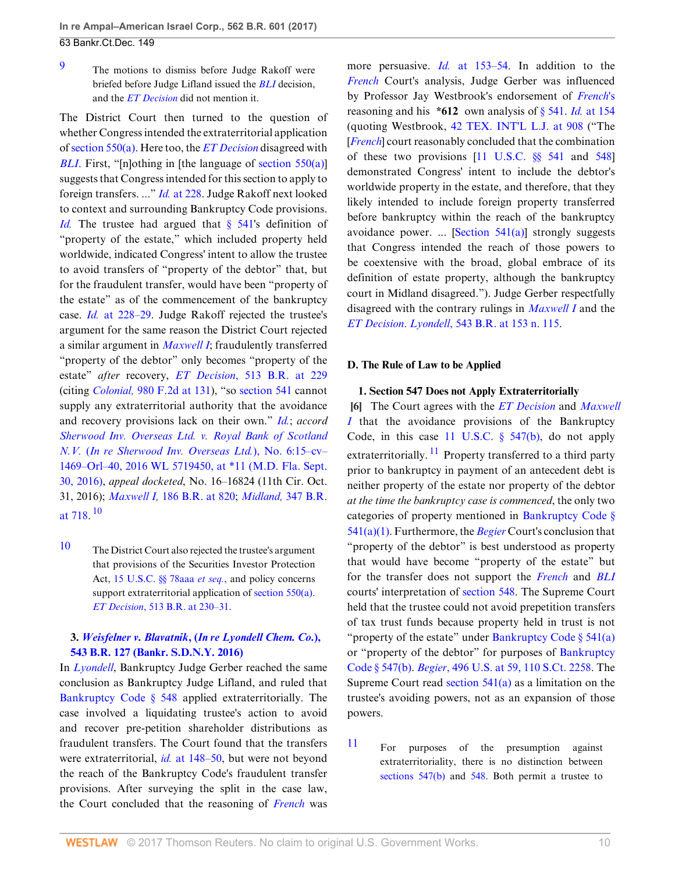<span id="page-9-1"></span>[9](#page-8-2) The motions to dismiss before Judge Rakoff were briefed before Judge Lifland issued the *[BLI](http://www.westlaw.com/Link/Document/FullText?findType=Y&serNum=2028864184&originatingDoc=Ifbf9f7d0d6fa11e6b27be1b44e7e7e5b&refType=RP&originationContext=document&vr=3.0&rs=cblt1.0&transitionType=DocumentItem&contextData=(sc.Search))* decision, and the *[ET Decision](http://www.westlaw.com/Link/Document/FullText?findType=Y&serNum=2033771470&originatingDoc=Ifbf9f7d0d6fa11e6b27be1b44e7e7e5b&refType=RP&originationContext=document&vr=3.0&rs=cblt1.0&transitionType=DocumentItem&contextData=(sc.Search))* did not mention it.

The District Court then turned to the question of whether Congress intended the extraterritorial application of [section 550\(a\).](http://www.westlaw.com/Link/Document/FullText?findType=L&pubNum=1000546&cite=11USCAS550&originatingDoc=Ifbf9f7d0d6fa11e6b27be1b44e7e7e5b&refType=SP&originationContext=document&vr=3.0&rs=cblt1.0&transitionType=DocumentItem&contextData=(sc.Search)#co_pp_8b3b0000958a4) Here too, the *[ET Decision](http://www.westlaw.com/Link/Document/FullText?findType=Y&serNum=2033771470&originatingDoc=Ifbf9f7d0d6fa11e6b27be1b44e7e7e5b&refType=RP&originationContext=document&vr=3.0&rs=cblt1.0&transitionType=DocumentItem&contextData=(sc.Search))* disagreed with *[BLI](http://www.westlaw.com/Link/Document/FullText?findType=Y&serNum=2028864184&originatingDoc=Ifbf9f7d0d6fa11e6b27be1b44e7e7e5b&refType=RP&originationContext=document&vr=3.0&rs=cblt1.0&transitionType=DocumentItem&contextData=(sc.Search))*. First, "[n]othing in [the language of [section 550\(a\)](http://www.westlaw.com/Link/Document/FullText?findType=L&pubNum=1000546&cite=11USCAS550&originatingDoc=Ifbf9f7d0d6fa11e6b27be1b44e7e7e5b&refType=SP&originationContext=document&vr=3.0&rs=cblt1.0&transitionType=DocumentItem&contextData=(sc.Search)#co_pp_8b3b0000958a4)] suggests that Congress intended for this section to apply to foreign transfers. ..." *Id.* [at 228.](http://www.westlaw.com/Link/Document/FullText?findType=Y&serNum=2033771470&pubNum=0000164&originatingDoc=Ifbf9f7d0d6fa11e6b27be1b44e7e7e5b&refType=RP&fi=co_pp_sp_164_228&originationContext=document&vr=3.0&rs=cblt1.0&transitionType=DocumentItem&contextData=(sc.Search)#co_pp_sp_164_228) Judge Rakoff next looked to context and surrounding Bankruptcy Code provisions. *[Id.](http://www.westlaw.com/Link/Document/FullText?findType=Y&serNum=2033771470&pubNum=0000164&originatingDoc=Ifbf9f7d0d6fa11e6b27be1b44e7e7e5b&refType=RP&originationContext=document&vr=3.0&rs=cblt1.0&transitionType=DocumentItem&contextData=(sc.Search))* The trustee had argued that [§ 541](http://www.westlaw.com/Link/Document/FullText?findType=L&pubNum=1000611&cite=11USCAS541&originatingDoc=Ifbf9f7d0d6fa11e6b27be1b44e7e7e5b&refType=LQ&originationContext=document&vr=3.0&rs=cblt1.0&transitionType=DocumentItem&contextData=(sc.Search))'s definition of "property of the estate," which included property held worldwide, indicated Congress' intent to allow the trustee to avoid transfers of "property of the debtor" that, but for the fraudulent transfer, would have been "property of the estate" as of the commencement of the bankruptcy case. *Id.* [at 228–29](http://www.westlaw.com/Link/Document/FullText?findType=Y&serNum=2033771470&pubNum=0000164&originatingDoc=Ifbf9f7d0d6fa11e6b27be1b44e7e7e5b&refType=RP&fi=co_pp_sp_164_228&originationContext=document&vr=3.0&rs=cblt1.0&transitionType=DocumentItem&contextData=(sc.Search)#co_pp_sp_164_228). Judge Rakoff rejected the trustee's argument for the same reason the District Court rejected a similar argument in *[Maxwell I](http://www.westlaw.com/Link/Document/FullText?findType=Y&serNum=1995188145&pubNum=0000164&originatingDoc=Ifbf9f7d0d6fa11e6b27be1b44e7e7e5b&refType=RP&originationContext=document&vr=3.0&rs=cblt1.0&transitionType=DocumentItem&contextData=(sc.Search))*; fraudulently transferred "property of the debtor" only becomes "property of the estate" *after* recovery, *ET Decision*[, 513 B.R. at 229](http://www.westlaw.com/Link/Document/FullText?findType=Y&serNum=2033771470&pubNum=0000164&originatingDoc=Ifbf9f7d0d6fa11e6b27be1b44e7e7e5b&refType=RP&fi=co_pp_sp_164_229&originationContext=document&vr=3.0&rs=cblt1.0&transitionType=DocumentItem&contextData=(sc.Search)#co_pp_sp_164_229) (citing *Colonial,* [980 F.2d at 131](http://www.westlaw.com/Link/Document/FullText?findType=Y&serNum=1992199618&pubNum=0000350&originatingDoc=Ifbf9f7d0d6fa11e6b27be1b44e7e7e5b&refType=RP&fi=co_pp_sp_350_131&originationContext=document&vr=3.0&rs=cblt1.0&transitionType=DocumentItem&contextData=(sc.Search)#co_pp_sp_350_131)), "so [section 541](http://www.westlaw.com/Link/Document/FullText?findType=L&pubNum=1000611&cite=11USCAS541&originatingDoc=Ifbf9f7d0d6fa11e6b27be1b44e7e7e5b&refType=LQ&originationContext=document&vr=3.0&rs=cblt1.0&transitionType=DocumentItem&contextData=(sc.Search)) cannot supply any extraterritorial authority that the avoidance and recovery provisions lack on their own." *[Id.](http://www.westlaw.com/Link/Document/FullText?findType=Y&serNum=2033771470&pubNum=0000164&originatingDoc=Ifbf9f7d0d6fa11e6b27be1b44e7e7e5b&refType=RP&originationContext=document&vr=3.0&rs=cblt1.0&transitionType=DocumentItem&contextData=(sc.Search))*; *accord [Sherwood Inv. Overseas Ltd. v. Royal Bank of Scotland](http://www.westlaw.com/Link/Document/FullText?findType=Y&serNum=2039905344&pubNum=0000999&originatingDoc=Ifbf9f7d0d6fa11e6b27be1b44e7e7e5b&refType=RP&originationContext=document&vr=3.0&rs=cblt1.0&transitionType=DocumentItem&contextData=(sc.Search)) N.V.* (*[In re Sherwood Inv. Overseas Ltd.](http://www.westlaw.com/Link/Document/FullText?findType=Y&serNum=2039905344&pubNum=0000999&originatingDoc=Ifbf9f7d0d6fa11e6b27be1b44e7e7e5b&refType=RP&originationContext=document&vr=3.0&rs=cblt1.0&transitionType=DocumentItem&contextData=(sc.Search))*), No. 6:15–cv– [1469–Orl–40, 2016 WL 5719450, at \\*11 \(M.D. Fla. Sept.](http://www.westlaw.com/Link/Document/FullText?findType=Y&serNum=2039905344&pubNum=0000999&originatingDoc=Ifbf9f7d0d6fa11e6b27be1b44e7e7e5b&refType=RP&originationContext=document&vr=3.0&rs=cblt1.0&transitionType=DocumentItem&contextData=(sc.Search)) [30, 2016\)](http://www.westlaw.com/Link/Document/FullText?findType=Y&serNum=2039905344&pubNum=0000999&originatingDoc=Ifbf9f7d0d6fa11e6b27be1b44e7e7e5b&refType=RP&originationContext=document&vr=3.0&rs=cblt1.0&transitionType=DocumentItem&contextData=(sc.Search)), *appeal docketed*, No. 16–16824 (11th Cir. Oct. 31, 2016); *Maxwell I,* [186 B.R. at 820](http://www.westlaw.com/Link/Document/FullText?findType=Y&serNum=1995188145&pubNum=0000164&originatingDoc=Ifbf9f7d0d6fa11e6b27be1b44e7e7e5b&refType=RP&fi=co_pp_sp_164_820&originationContext=document&vr=3.0&rs=cblt1.0&transitionType=DocumentItem&contextData=(sc.Search)#co_pp_sp_164_820); *Midland,* [347 B.R.](http://www.westlaw.com/Link/Document/FullText?findType=Y&serNum=2009743716&pubNum=0000164&originatingDoc=Ifbf9f7d0d6fa11e6b27be1b44e7e7e5b&refType=RP&fi=co_pp_sp_164_718&originationContext=document&vr=3.0&rs=cblt1.0&transitionType=DocumentItem&contextData=(sc.Search)#co_pp_sp_164_718) [at 718.](http://www.westlaw.com/Link/Document/FullText?findType=Y&serNum=2009743716&pubNum=0000164&originatingDoc=Ifbf9f7d0d6fa11e6b27be1b44e7e7e5b&refType=RP&fi=co_pp_sp_164_718&originationContext=document&vr=3.0&rs=cblt1.0&transitionType=DocumentItem&contextData=(sc.Search)#co_pp_sp_164_718)  $^{10}$  $^{10}$  $^{10}$ 

<span id="page-9-3"></span><span id="page-9-2"></span>[10](#page-9-3) The District Court also rejected the trustee's argument that provisions of the Securities Investor Protection Act, [15 U.S.C. §§ 78aaa](http://www.westlaw.com/Link/Document/FullText?findType=L&pubNum=1000546&cite=15USCAS78AAA&originatingDoc=Ifbf9f7d0d6fa11e6b27be1b44e7e7e5b&refType=LQ&originationContext=document&vr=3.0&rs=cblt1.0&transitionType=DocumentItem&contextData=(sc.Search)) *et seq.*, and policy concerns support extraterritorial application of [section 550\(a\).](http://www.westlaw.com/Link/Document/FullText?findType=L&pubNum=1000546&cite=11USCAS550&originatingDoc=Ifbf9f7d0d6fa11e6b27be1b44e7e7e5b&refType=SP&originationContext=document&vr=3.0&rs=cblt1.0&transitionType=DocumentItem&contextData=(sc.Search)#co_pp_8b3b0000958a4) *ET Decision*[, 513 B.R. at 230–31.](http://www.westlaw.com/Link/Document/FullText?findType=Y&serNum=2033771470&pubNum=0000164&originatingDoc=Ifbf9f7d0d6fa11e6b27be1b44e7e7e5b&refType=RP&fi=co_pp_sp_164_230&originationContext=document&vr=3.0&rs=cblt1.0&transitionType=DocumentItem&contextData=(sc.Search)#co_pp_sp_164_230)

# **3.** *Weisfelner v. Blavatnik***, (***[In re Lyondell Chem. Co.](http://www.westlaw.com/Link/Document/FullText?findType=Y&serNum=2037954008&pubNum=0000164&originatingDoc=Ifbf9f7d0d6fa11e6b27be1b44e7e7e5b&refType=RP&originationContext=document&vr=3.0&rs=cblt1.0&transitionType=DocumentItem&contextData=(sc.Search))***), [543 B.R. 127 \(Bankr. S.D.N.Y. 2016\)](http://www.westlaw.com/Link/Document/FullText?findType=Y&serNum=2037954008&pubNum=0000164&originatingDoc=Ifbf9f7d0d6fa11e6b27be1b44e7e7e5b&refType=RP&originationContext=document&vr=3.0&rs=cblt1.0&transitionType=DocumentItem&contextData=(sc.Search))**

In *[Lyondell](http://www.westlaw.com/Link/Document/FullText?findType=Y&serNum=2037954008&pubNum=0000164&originatingDoc=Ifbf9f7d0d6fa11e6b27be1b44e7e7e5b&refType=RP&originationContext=document&vr=3.0&rs=cblt1.0&transitionType=DocumentItem&contextData=(sc.Search))*, Bankruptcy Judge Gerber reached the same conclusion as Bankruptcy Judge Lifland, and ruled that [Bankruptcy Code § 548](http://www.westlaw.com/Link/Document/FullText?findType=L&pubNum=1000611&cite=11USCAS548&originatingDoc=Ifbf9f7d0d6fa11e6b27be1b44e7e7e5b&refType=LQ&originationContext=document&vr=3.0&rs=cblt1.0&transitionType=DocumentItem&contextData=(sc.Search)) applied extraterritorially. The case involved a liquidating trustee's action to avoid and recover pre-petition shareholder distributions as fraudulent transfers. The Court found that the transfers were extraterritorial, *id.* [at 148–50](http://www.westlaw.com/Link/Document/FullText?findType=Y&serNum=2037954008&pubNum=0000164&originatingDoc=Ifbf9f7d0d6fa11e6b27be1b44e7e7e5b&refType=RP&fi=co_pp_sp_164_148&originationContext=document&vr=3.0&rs=cblt1.0&transitionType=DocumentItem&contextData=(sc.Search)#co_pp_sp_164_148), but were not beyond the reach of the Bankruptcy Code's fraudulent transfer provisions. After surveying the split in the case law, the Court concluded that the reasoning of *[French](http://www.westlaw.com/Link/Document/FullText?findType=Y&serNum=2008409278&pubNum=0000506&originatingDoc=Ifbf9f7d0d6fa11e6b27be1b44e7e7e5b&refType=RP&originationContext=document&vr=3.0&rs=cblt1.0&transitionType=DocumentItem&contextData=(sc.Search))* was more persuasive. *Id.* [at 153–54.](http://www.westlaw.com/Link/Document/FullText?findType=Y&serNum=2037954008&pubNum=0000164&originatingDoc=Ifbf9f7d0d6fa11e6b27be1b44e7e7e5b&refType=RP&fi=co_pp_sp_164_153&originationContext=document&vr=3.0&rs=cblt1.0&transitionType=DocumentItem&contextData=(sc.Search)#co_pp_sp_164_153) In addition to the *[French](http://www.westlaw.com/Link/Document/FullText?findType=Y&serNum=2008409278&pubNum=0000506&originatingDoc=Ifbf9f7d0d6fa11e6b27be1b44e7e7e5b&refType=RP&originationContext=document&vr=3.0&rs=cblt1.0&transitionType=DocumentItem&contextData=(sc.Search))* Court's analysis, Judge Gerber was influenced by Professor Jay Westbrook's endorsement of *[French](http://www.westlaw.com/Link/Document/FullText?findType=Y&serNum=2008409278&originatingDoc=Ifbf9f7d0d6fa11e6b27be1b44e7e7e5b&refType=RP&originationContext=document&vr=3.0&rs=cblt1.0&transitionType=DocumentItem&contextData=(sc.Search))*'s reasoning and his **\*612** own analysis of [§ 541](http://www.westlaw.com/Link/Document/FullText?findType=L&pubNum=1000611&cite=11USCAS541&originatingDoc=Ifbf9f7d0d6fa11e6b27be1b44e7e7e5b&refType=LQ&originationContext=document&vr=3.0&rs=cblt1.0&transitionType=DocumentItem&contextData=(sc.Search)). *Id.* [at 154](http://www.westlaw.com/Link/Document/FullText?findType=Y&serNum=2037954008&pubNum=0000164&originatingDoc=Ifbf9f7d0d6fa11e6b27be1b44e7e7e5b&refType=RP&fi=co_pp_sp_164_154&originationContext=document&vr=3.0&rs=cblt1.0&transitionType=DocumentItem&contextData=(sc.Search)#co_pp_sp_164_154) (quoting Westbrook, [42 TEX. INT'L L.J. at 908](http://www.westlaw.com/Link/Document/FullText?findType=Y&serNum=0333224807&pubNum=0001480&originatingDoc=Ifbf9f7d0d6fa11e6b27be1b44e7e7e5b&refType=LR&fi=co_pp_sp_1480_908&originationContext=document&vr=3.0&rs=cblt1.0&transitionType=DocumentItem&contextData=(sc.Search)#co_pp_sp_1480_908) ("The [*[French](http://www.westlaw.com/Link/Document/FullText?findType=Y&serNum=2008409278&pubNum=0000506&originatingDoc=Ifbf9f7d0d6fa11e6b27be1b44e7e7e5b&refType=RP&originationContext=document&vr=3.0&rs=cblt1.0&transitionType=DocumentItem&contextData=(sc.Search))*] court reasonably concluded that the combination of these two provisions [\[11 U.S.C. §§ 541](http://www.westlaw.com/Link/Document/FullText?findType=L&pubNum=1000546&cite=11USCAS541&originatingDoc=Ifbf9f7d0d6fa11e6b27be1b44e7e7e5b&refType=LQ&originationContext=document&vr=3.0&rs=cblt1.0&transitionType=DocumentItem&contextData=(sc.Search)) and [548](http://www.westlaw.com/Link/Document/FullText?findType=L&pubNum=1000546&cite=11USCAS548&originatingDoc=Ifbf9f7d0d6fa11e6b27be1b44e7e7e5b&refType=LQ&originationContext=document&vr=3.0&rs=cblt1.0&transitionType=DocumentItem&contextData=(sc.Search))] demonstrated Congress' intent to include the debtor's worldwide property in the estate, and therefore, that they likely intended to include foreign property transferred before bankruptcy within the reach of the bankruptcy avoidance power. ... [Section  $541(a)$ ] strongly suggests that Congress intended the reach of those powers to be coextensive with the broad, global embrace of its definition of estate property, although the bankruptcy court in Midland disagreed."). Judge Gerber respectfully disagreed with the contrary rulings in *[Maxwell I](http://www.westlaw.com/Link/Document/FullText?findType=Y&serNum=1995188145&pubNum=0000164&originatingDoc=Ifbf9f7d0d6fa11e6b27be1b44e7e7e5b&refType=RP&originationContext=document&vr=3.0&rs=cblt1.0&transitionType=DocumentItem&contextData=(sc.Search))* and the *[ET Decision](http://www.westlaw.com/Link/Document/FullText?findType=Y&serNum=2033771470&originatingDoc=Ifbf9f7d0d6fa11e6b27be1b44e7e7e5b&refType=RP&originationContext=document&vr=3.0&rs=cblt1.0&transitionType=DocumentItem&contextData=(sc.Search))*. *Lyondell*[, 543 B.R. at 153 n. 115](http://www.westlaw.com/Link/Document/FullText?findType=Y&serNum=2037954008&pubNum=0000164&originatingDoc=Ifbf9f7d0d6fa11e6b27be1b44e7e7e5b&refType=RP&fi=co_pp_sp_164_153&originationContext=document&vr=3.0&rs=cblt1.0&transitionType=DocumentItem&contextData=(sc.Search)#co_pp_sp_164_153).

#### **D. The Rule of Law to be Applied**

#### <span id="page-9-5"></span><span id="page-9-0"></span>**1. Section 547 Does not Apply Extraterritorially**

**[\[6](#page-1-0)]** The Court agrees with the *[ET Decision](http://www.westlaw.com/Link/Document/FullText?findType=Y&serNum=2033771470&originatingDoc=Ifbf9f7d0d6fa11e6b27be1b44e7e7e5b&refType=RP&originationContext=document&vr=3.0&rs=cblt1.0&transitionType=DocumentItem&contextData=(sc.Search))* and *[Maxwell](http://www.westlaw.com/Link/Document/FullText?findType=Y&serNum=1995188145&pubNum=0000164&originatingDoc=Ifbf9f7d0d6fa11e6b27be1b44e7e7e5b&refType=RP&originationContext=document&vr=3.0&rs=cblt1.0&transitionType=DocumentItem&contextData=(sc.Search)) [I](http://www.westlaw.com/Link/Document/FullText?findType=Y&serNum=1995188145&pubNum=0000164&originatingDoc=Ifbf9f7d0d6fa11e6b27be1b44e7e7e5b&refType=RP&originationContext=document&vr=3.0&rs=cblt1.0&transitionType=DocumentItem&contextData=(sc.Search))* that the avoidance provisions of the Bankruptcy Code, in this case 11 U.S.C.  $\S$  547(b), do not apply extraterritorially.  $\frac{11}{2}$  $\frac{11}{2}$  $\frac{11}{2}$  Property transferred to a third party prior to bankruptcy in payment of an antecedent debt is neither property of the estate nor property of the debtor *at the time the bankruptcy case is commenced*, the only two categories of property mentioned in [Bankruptcy Code §](http://www.westlaw.com/Link/Document/FullText?findType=L&pubNum=1000611&cite=11USCAS541&originatingDoc=Ifbf9f7d0d6fa11e6b27be1b44e7e7e5b&refType=LQ&originationContext=document&vr=3.0&rs=cblt1.0&transitionType=DocumentItem&contextData=(sc.Search)) [541\(a\)\(1\)](http://www.westlaw.com/Link/Document/FullText?findType=L&pubNum=1000611&cite=11USCAS541&originatingDoc=Ifbf9f7d0d6fa11e6b27be1b44e7e7e5b&refType=LQ&originationContext=document&vr=3.0&rs=cblt1.0&transitionType=DocumentItem&contextData=(sc.Search)). Furthermore, the *[Begier](http://www.westlaw.com/Link/Document/FullText?findType=Y&serNum=1990086717&pubNum=0000780&originatingDoc=Ifbf9f7d0d6fa11e6b27be1b44e7e7e5b&refType=RP&originationContext=document&vr=3.0&rs=cblt1.0&transitionType=DocumentItem&contextData=(sc.Search))* Court's conclusion that "property of the debtor" is best understood as property that would have become "property of the estate" but for the transfer does not support the *[French](http://www.westlaw.com/Link/Document/FullText?findType=Y&serNum=2008409278&pubNum=0000506&originatingDoc=Ifbf9f7d0d6fa11e6b27be1b44e7e7e5b&refType=RP&originationContext=document&vr=3.0&rs=cblt1.0&transitionType=DocumentItem&contextData=(sc.Search))* and *[BLI](http://www.westlaw.com/Link/Document/FullText?findType=Y&serNum=2028864184&originatingDoc=Ifbf9f7d0d6fa11e6b27be1b44e7e7e5b&refType=RP&originationContext=document&vr=3.0&rs=cblt1.0&transitionType=DocumentItem&contextData=(sc.Search))* courts' interpretation of [section 548](http://www.westlaw.com/Link/Document/FullText?findType=L&pubNum=1000546&cite=11USCAS548&originatingDoc=Ifbf9f7d0d6fa11e6b27be1b44e7e7e5b&refType=LQ&originationContext=document&vr=3.0&rs=cblt1.0&transitionType=DocumentItem&contextData=(sc.Search)). The Supreme Court held that the trustee could not avoid prepetition transfers of tax trust funds because property held in trust is not "property of the estate" under Bankruptcy Code  $\S$  541(a) or "property of the debtor" for purposes of [Bankruptcy](http://www.westlaw.com/Link/Document/FullText?findType=L&pubNum=1000611&cite=11USCAS547&originatingDoc=Ifbf9f7d0d6fa11e6b27be1b44e7e7e5b&refType=LQ&originationContext=document&vr=3.0&rs=cblt1.0&transitionType=DocumentItem&contextData=(sc.Search)) [Code § 547\(b\)](http://www.westlaw.com/Link/Document/FullText?findType=L&pubNum=1000611&cite=11USCAS547&originatingDoc=Ifbf9f7d0d6fa11e6b27be1b44e7e7e5b&refType=LQ&originationContext=document&vr=3.0&rs=cblt1.0&transitionType=DocumentItem&contextData=(sc.Search)). *Begier*[, 496 U.S. at 59, 110 S.Ct. 2258](http://www.westlaw.com/Link/Document/FullText?findType=Y&serNum=1990086717&pubNum=0000708&originatingDoc=Ifbf9f7d0d6fa11e6b27be1b44e7e7e5b&refType=RP&originationContext=document&vr=3.0&rs=cblt1.0&transitionType=DocumentItem&contextData=(sc.Search)). The Supreme Court read section  $541(a)$  as a limitation on the trustee's avoiding powers, not as an expansion of those powers.

<span id="page-9-4"></span>[11](#page-9-5) For purposes of the presumption against extraterritoriality, there is no distinction between sections  $547(b)$  and  $548$ . Both permit a trustee to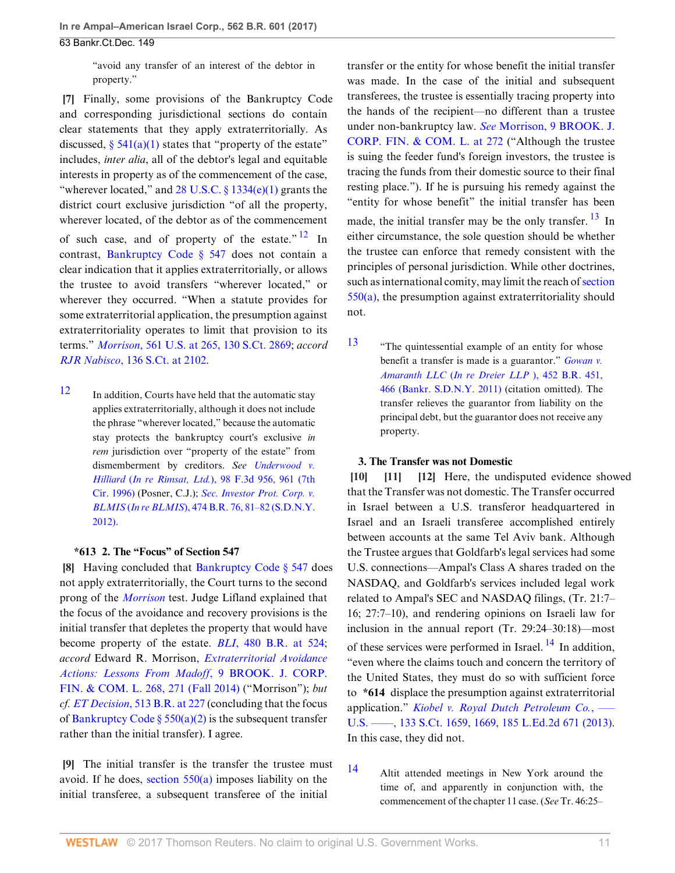"avoid any transfer of an interest of the debtor in property."

<span id="page-10-0"></span>**[\[7](#page-1-3)]** Finally, some provisions of the Bankruptcy Code and corresponding jurisdictional sections do contain clear statements that they apply extraterritorially. As discussed,  $\S$  541(a)(1) states that "property of the estate" includes, *inter alia*, all of the debtor's legal and equitable interests in property as of the commencement of the case, "wherever located," and  $28$  U.S.C.  $\S$  1334(e)(1) grants the district court exclusive jurisdiction "of all the property, wherever located, of the debtor as of the commencement of such case, and of property of the estate." $12 \text{ In}$  $12 \text{ In}$ contrast, [Bankruptcy Code § 547](http://www.westlaw.com/Link/Document/FullText?findType=L&pubNum=1000611&cite=11USCAS547&originatingDoc=Ifbf9f7d0d6fa11e6b27be1b44e7e7e5b&refType=LQ&originationContext=document&vr=3.0&rs=cblt1.0&transitionType=DocumentItem&contextData=(sc.Search)) does not contain a clear indication that it applies extraterritorially, or allows the trustee to avoid transfers "wherever located," or wherever they occurred. "When a statute provides for some extraterritorial application, the presumption against extraterritoriality operates to limit that provision to its terms." *Morrison*[, 561 U.S. at 265, 130 S.Ct. 2869](http://www.westlaw.com/Link/Document/FullText?findType=Y&serNum=2022366653&pubNum=0000708&originatingDoc=Ifbf9f7d0d6fa11e6b27be1b44e7e7e5b&refType=RP&originationContext=document&vr=3.0&rs=cblt1.0&transitionType=DocumentItem&contextData=(sc.Search)); *accord RJR Nabisco*[, 136 S.Ct. at 2102](http://www.westlaw.com/Link/Document/FullText?findType=Y&serNum=2039199305&pubNum=0000708&originatingDoc=Ifbf9f7d0d6fa11e6b27be1b44e7e7e5b&refType=RP&fi=co_pp_sp_708_2102&originationContext=document&vr=3.0&rs=cblt1.0&transitionType=DocumentItem&contextData=(sc.Search)#co_pp_sp_708_2102).

<span id="page-10-6"></span>[12](#page-10-7) In addition, Courts have held that the automatic stay applies extraterritorially, although it does not include the phrase "wherever located," because the automatic stay protects the bankruptcy court's exclusive *in rem* jurisdiction over "property of the estate" from dismemberment by creditors. *See [Underwood v.](http://www.westlaw.com/Link/Document/FullText?findType=Y&serNum=1996234954&pubNum=0000506&originatingDoc=Ifbf9f7d0d6fa11e6b27be1b44e7e7e5b&refType=RP&fi=co_pp_sp_506_961&originationContext=document&vr=3.0&rs=cblt1.0&transitionType=DocumentItem&contextData=(sc.Search)#co_pp_sp_506_961) Hilliard* (*In re Rimsat, Ltd.*[\), 98 F.3d 956, 961 \(7th](http://www.westlaw.com/Link/Document/FullText?findType=Y&serNum=1996234954&pubNum=0000506&originatingDoc=Ifbf9f7d0d6fa11e6b27be1b44e7e7e5b&refType=RP&fi=co_pp_sp_506_961&originationContext=document&vr=3.0&rs=cblt1.0&transitionType=DocumentItem&contextData=(sc.Search)#co_pp_sp_506_961) [Cir. 1996\)](http://www.westlaw.com/Link/Document/FullText?findType=Y&serNum=1996234954&pubNum=0000506&originatingDoc=Ifbf9f7d0d6fa11e6b27be1b44e7e7e5b&refType=RP&fi=co_pp_sp_506_961&originationContext=document&vr=3.0&rs=cblt1.0&transitionType=DocumentItem&contextData=(sc.Search)#co_pp_sp_506_961) (Posner, C.J.); *[Sec. Investor Prot. Corp. v.](http://www.westlaw.com/Link/Document/FullText?findType=Y&serNum=2027635626&pubNum=0000164&originatingDoc=Ifbf9f7d0d6fa11e6b27be1b44e7e7e5b&refType=RP&fi=co_pp_sp_164_81&originationContext=document&vr=3.0&rs=cblt1.0&transitionType=DocumentItem&contextData=(sc.Search)#co_pp_sp_164_81) BLMIS* (*In re BLMIS*[\), 474 B.R. 76, 81–82 \(S.D.N.Y.](http://www.westlaw.com/Link/Document/FullText?findType=Y&serNum=2027635626&pubNum=0000164&originatingDoc=Ifbf9f7d0d6fa11e6b27be1b44e7e7e5b&refType=RP&fi=co_pp_sp_164_81&originationContext=document&vr=3.0&rs=cblt1.0&transitionType=DocumentItem&contextData=(sc.Search)#co_pp_sp_164_81) [2012\).](http://www.westlaw.com/Link/Document/FullText?findType=Y&serNum=2027635626&pubNum=0000164&originatingDoc=Ifbf9f7d0d6fa11e6b27be1b44e7e7e5b&refType=RP&fi=co_pp_sp_164_81&originationContext=document&vr=3.0&rs=cblt1.0&transitionType=DocumentItem&contextData=(sc.Search)#co_pp_sp_164_81)

### <span id="page-10-1"></span>**\*613 2. The "Focus" of Section 547**

**[\[8](#page-1-4)]** Having concluded that [Bankruptcy Code § 547](http://www.westlaw.com/Link/Document/FullText?findType=L&pubNum=1000611&cite=11USCAS547&originatingDoc=Ifbf9f7d0d6fa11e6b27be1b44e7e7e5b&refType=LQ&originationContext=document&vr=3.0&rs=cblt1.0&transitionType=DocumentItem&contextData=(sc.Search)) does not apply extraterritorially, the Court turns to the second prong of the *[Morrison](http://www.westlaw.com/Link/Document/FullText?findType=Y&serNum=2022366653&pubNum=0000780&originatingDoc=Ifbf9f7d0d6fa11e6b27be1b44e7e7e5b&refType=RP&originationContext=document&vr=3.0&rs=cblt1.0&transitionType=DocumentItem&contextData=(sc.Search))* test. Judge Lifland explained that the focus of the avoidance and recovery provisions is the initial transfer that depletes the property that would have become property of the estate. *BLI*[, 480 B.R. at 524](http://www.westlaw.com/Link/Document/FullText?findType=Y&serNum=2028864184&pubNum=0000164&originatingDoc=Ifbf9f7d0d6fa11e6b27be1b44e7e7e5b&refType=RP&fi=co_pp_sp_164_524&originationContext=document&vr=3.0&rs=cblt1.0&transitionType=DocumentItem&contextData=(sc.Search)#co_pp_sp_164_524); *accord* Edward R. Morrison, *[Extraterritorial Avoidance](http://www.westlaw.com/Link/Document/FullText?findType=Y&serNum=0428559994&pubNum=0196969&originatingDoc=Ifbf9f7d0d6fa11e6b27be1b44e7e7e5b&refType=LR&fi=co_pp_sp_196969_271&originationContext=document&vr=3.0&rs=cblt1.0&transitionType=DocumentItem&contextData=(sc.Search)#co_pp_sp_196969_271) [Actions: Lessons From Madoff](http://www.westlaw.com/Link/Document/FullText?findType=Y&serNum=0428559994&pubNum=0196969&originatingDoc=Ifbf9f7d0d6fa11e6b27be1b44e7e7e5b&refType=LR&fi=co_pp_sp_196969_271&originationContext=document&vr=3.0&rs=cblt1.0&transitionType=DocumentItem&contextData=(sc.Search)#co_pp_sp_196969_271)*, 9 BROOK. J. CORP. [FIN. & COM. L. 268, 271 \(Fall 2014\)](http://www.westlaw.com/Link/Document/FullText?findType=Y&serNum=0428559994&pubNum=0196969&originatingDoc=Ifbf9f7d0d6fa11e6b27be1b44e7e7e5b&refType=LR&fi=co_pp_sp_196969_271&originationContext=document&vr=3.0&rs=cblt1.0&transitionType=DocumentItem&contextData=(sc.Search)#co_pp_sp_196969_271) ("Morrison"); *but cf. ET Decision*[, 513 B.R. at 227](http://www.westlaw.com/Link/Document/FullText?findType=Y&serNum=2033771470&pubNum=0000164&originatingDoc=Ifbf9f7d0d6fa11e6b27be1b44e7e7e5b&refType=RP&fi=co_pp_sp_164_227&originationContext=document&vr=3.0&rs=cblt1.0&transitionType=DocumentItem&contextData=(sc.Search)#co_pp_sp_164_227) (concluding that the focus of Bankruptcy Code §  $550(a)(2)$  is the subsequent transfer rather than the initial transfer). I agree.

<span id="page-10-2"></span>**[\[9](#page-1-5)]** The initial transfer is the transfer the trustee must avoid. If he does, section  $550(a)$  imposes liability on the initial transferee, a subsequent transferee of the initial

transfer or the entity for whose benefit the initial transfer was made. In the case of the initial and subsequent transferees, the trustee is essentially tracing property into the hands of the recipient—no different than a trustee under non-bankruptcy law. *See* [Morrison, 9 BROOK. J.](http://www.westlaw.com/Link/Document/FullText?findType=Y&serNum=0428559994&pubNum=0196969&originatingDoc=Ifbf9f7d0d6fa11e6b27be1b44e7e7e5b&refType=LR&fi=co_pp_sp_196969_272&originationContext=document&vr=3.0&rs=cblt1.0&transitionType=DocumentItem&contextData=(sc.Search)#co_pp_sp_196969_272) [CORP. FIN. & COM. L. at 272](http://www.westlaw.com/Link/Document/FullText?findType=Y&serNum=0428559994&pubNum=0196969&originatingDoc=Ifbf9f7d0d6fa11e6b27be1b44e7e7e5b&refType=LR&fi=co_pp_sp_196969_272&originationContext=document&vr=3.0&rs=cblt1.0&transitionType=DocumentItem&contextData=(sc.Search)#co_pp_sp_196969_272) ("Although the trustee is suing the feeder fund's foreign investors, the trustee is tracing the funds from their domestic source to their final resting place."). If he is pursuing his remedy against the "entity for whose benefit" the initial transfer has been made, the initial transfer may be the only transfer.  $^{13}$  $^{13}$  $^{13}$  In either circumstance, the sole question should be whether the trustee can enforce that remedy consistent with the principles of personal jurisdiction. While other doctrines, such as international comity, may limit the reach of [section](http://www.westlaw.com/Link/Document/FullText?findType=L&pubNum=1000611&cite=11USCAS550&originatingDoc=Ifbf9f7d0d6fa11e6b27be1b44e7e7e5b&refType=LQ&originationContext=document&vr=3.0&rs=cblt1.0&transitionType=DocumentItem&contextData=(sc.Search)) [550\(a\),](http://www.westlaw.com/Link/Document/FullText?findType=L&pubNum=1000611&cite=11USCAS550&originatingDoc=Ifbf9f7d0d6fa11e6b27be1b44e7e7e5b&refType=LQ&originationContext=document&vr=3.0&rs=cblt1.0&transitionType=DocumentItem&contextData=(sc.Search)) the presumption against extraterritoriality should not.

<span id="page-10-9"></span><span id="page-10-8"></span><span id="page-10-7"></span>[13](#page-10-9) "The quintessential example of an entity for whose benefit a transfer is made is a guarantor." *[Gowan v.](http://www.westlaw.com/Link/Document/FullText?findType=Y&serNum=2025508668&pubNum=0000164&originatingDoc=Ifbf9f7d0d6fa11e6b27be1b44e7e7e5b&refType=RP&fi=co_pp_sp_164_466&originationContext=document&vr=3.0&rs=cblt1.0&transitionType=DocumentItem&contextData=(sc.Search)#co_pp_sp_164_466) Amaranth LLC* (*[In re Dreier LLP](http://www.westlaw.com/Link/Document/FullText?findType=Y&serNum=2025508668&pubNum=0000164&originatingDoc=Ifbf9f7d0d6fa11e6b27be1b44e7e7e5b&refType=RP&fi=co_pp_sp_164_466&originationContext=document&vr=3.0&rs=cblt1.0&transitionType=DocumentItem&contextData=(sc.Search)#co_pp_sp_164_466)* ), 452 B.R. 451, [466 \(Bankr. S.D.N.Y. 2011\)](http://www.westlaw.com/Link/Document/FullText?findType=Y&serNum=2025508668&pubNum=0000164&originatingDoc=Ifbf9f7d0d6fa11e6b27be1b44e7e7e5b&refType=RP&fi=co_pp_sp_164_466&originationContext=document&vr=3.0&rs=cblt1.0&transitionType=DocumentItem&contextData=(sc.Search)#co_pp_sp_164_466) (citation omitted). The transfer relieves the guarantor from liability on the principal debt, but the guarantor does not receive any property.

# <span id="page-10-5"></span><span id="page-10-4"></span><span id="page-10-3"></span>**3. The Transfer was not Domestic**

**[\[10](#page-1-1)] [\[11](#page-2-3)] [\[12](#page-2-4)]** Here, the undisputed evidence showed that the Transfer was not domestic. The Transfer occurred in Israel between a U.S. transferor headquartered in Israel and an Israeli transferee accomplished entirely between accounts at the same Tel Aviv bank. Although the Trustee argues that Goldfarb's legal services had some U.S. connections—Ampal's Class A shares traded on the NASDAQ, and Goldfarb's services included legal work related to Ampal's SEC and NASDAQ filings, (Tr. 21:7– 16; 27:7–10), and rendering opinions on Israeli law for inclusion in the annual report (Tr. 29:24–30:18)—most of these services were performed in Israel.  $^{14}$  $^{14}$  $^{14}$  In addition, "even where the claims touch and concern the territory of the United States, they must do so with sufficient force to **\*614** displace the presumption against extraterritorial application." *[Kiobel v. Royal Dutch Petroleum Co.](http://www.westlaw.com/Link/Document/FullText?findType=Y&serNum=2030367986&pubNum=0000708&originatingDoc=Ifbf9f7d0d6fa11e6b27be1b44e7e7e5b&refType=RP&fi=co_pp_sp_708_1669&originationContext=document&vr=3.0&rs=cblt1.0&transitionType=DocumentItem&contextData=(sc.Search)#co_pp_sp_708_1669)*, ––– [U.S. ––––, 133 S.Ct. 1659, 1669, 185 L.Ed.2d 671 \(2013\)](http://www.westlaw.com/Link/Document/FullText?findType=Y&serNum=2030367986&pubNum=0000708&originatingDoc=Ifbf9f7d0d6fa11e6b27be1b44e7e7e5b&refType=RP&fi=co_pp_sp_708_1669&originationContext=document&vr=3.0&rs=cblt1.0&transitionType=DocumentItem&contextData=(sc.Search)#co_pp_sp_708_1669). In this case, they did not.

<span id="page-10-11"></span><span id="page-10-10"></span>[14](#page-10-11) Altit attended meetings in New York around the time of, and apparently in conjunction with, the commencement of the chapter 11 case. (*See* Tr. 46:25–